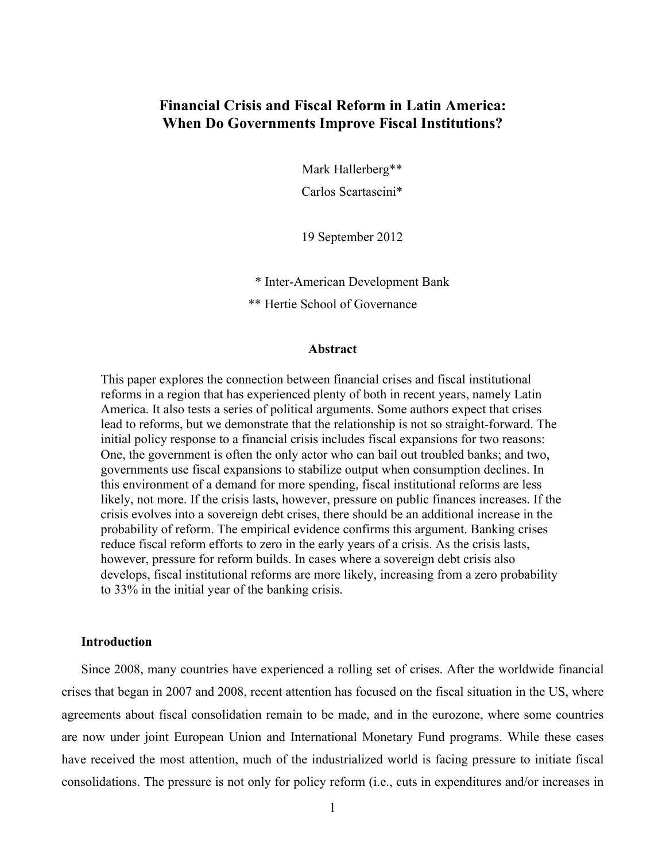### **Financial Crisis and Fiscal Reform in Latin America: When Do Governments Improve Fiscal Institutions?**

Mark Hallerberg\*\*

Carlos Scartascini\*

19 September 2012

\* Inter-American Development Bank

\*\* Hertie School of Governance

#### **Abstract**

This paper explores the connection between financial crises and fiscal institutional reforms in a region that has experienced plenty of both in recent years, namely Latin America. It also tests a series of political arguments. Some authors expect that crises lead to reforms, but we demonstrate that the relationship is not so straight-forward. The initial policy response to a financial crisis includes fiscal expansions for two reasons: One, the government is often the only actor who can bail out troubled banks; and two, governments use fiscal expansions to stabilize output when consumption declines. In this environment of a demand for more spending, fiscal institutional reforms are less likely, not more. If the crisis lasts, however, pressure on public finances increases. If the crisis evolves into a sovereign debt crises, there should be an additional increase in the probability of reform. The empirical evidence confirms this argument. Banking crises reduce fiscal reform efforts to zero in the early years of a crisis. As the crisis lasts, however, pressure for reform builds. In cases where a sovereign debt crisis also develops, fiscal institutional reforms are more likely, increasing from a zero probability to 33% in the initial year of the banking crisis.

### **Introduction**

Since 2008, many countries have experienced a rolling set of crises. After the worldwide financial crises that began in 2007 and 2008, recent attention has focused on the fiscal situation in the US, where agreements about fiscal consolidation remain to be made, and in the eurozone, where some countries are now under joint European Union and International Monetary Fund programs. While these cases have received the most attention, much of the industrialized world is facing pressure to initiate fiscal consolidations. The pressure is not only for policy reform (i.e., cuts in expenditures and/or increases in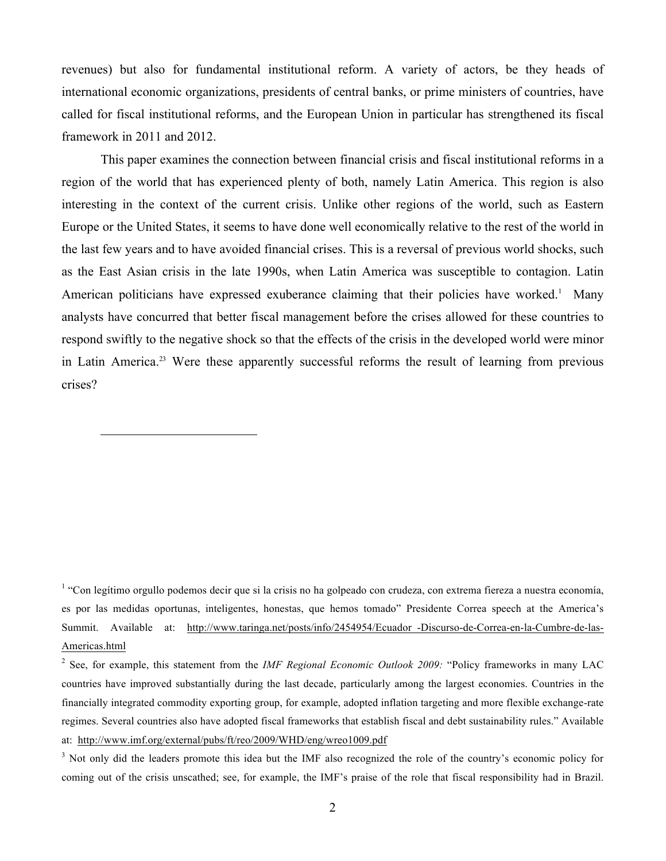revenues) but also for fundamental institutional reform. A variety of actors, be they heads of international economic organizations, presidents of central banks, or prime ministers of countries, have called for fiscal institutional reforms, and the European Union in particular has strengthened its fiscal framework in 2011 and 2012.

This paper examines the connection between financial crisis and fiscal institutional reforms in a region of the world that has experienced plenty of both, namely Latin America. This region is also interesting in the context of the current crisis. Unlike other regions of the world, such as Eastern Europe or the United States, it seems to have done well economically relative to the rest of the world in the last few years and to have avoided financial crises. This is a reversal of previous world shocks, such as the East Asian crisis in the late 1990s, when Latin America was susceptible to contagion. Latin American politicians have expressed exuberance claiming that their policies have worked.<sup>1</sup> Many analysts have concurred that better fiscal management before the crises allowed for these countries to respond swiftly to the negative shock so that the effects of the crisis in the developed world were minor in Latin America.<sup>23</sup> Were these apparently successful reforms the result of learning from previous crises?

 $\overline{a}$ 

<sup>1</sup> "Con legítimo orgullo podemos decir que si la crisis no ha golpeado con crudeza, con extrema fiereza a nuestra economía, es por las medidas oportunas, inteligentes, honestas, que hemos tomado" Presidente Correa speech at the America's Summit. Available at: http://www.taringa.net/posts/info/2454954/Ecuador-Discurso-de-Correa-en-la-Cumbre-de-las-Americas.html

<sup>2</sup> See, for example, this statement from the *IMF Regional Economic Outlook 2009:* "Policy frameworks in many LAC countries have improved substantially during the last decade, particularly among the largest economies. Countries in the financially integrated commodity exporting group, for example, adopted inflation targeting and more flexible exchange-rate regimes. Several countries also have adopted fiscal frameworks that establish fiscal and debt sustainability rules." Available at: http://www.imf.org/external/pubs/ft/reo/2009/WHD/eng/wreo1009.pdf

<sup>&</sup>lt;sup>3</sup> Not only did the leaders promote this idea but the IMF also recognized the role of the country's economic policy for coming out of the crisis unscathed; see, for example, the IMF's praise of the role that fiscal responsibility had in Brazil.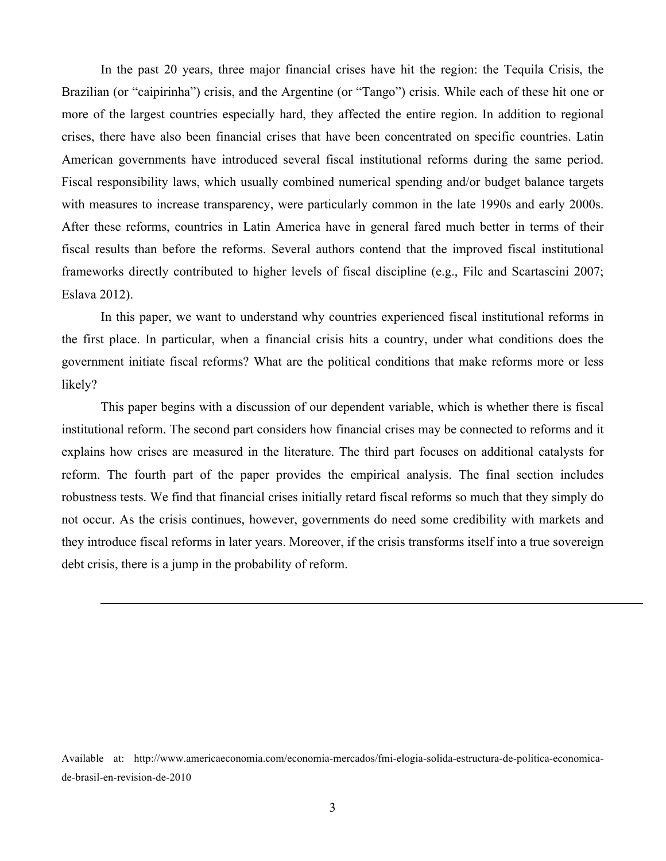In the past 20 years, three major financial crises have hit the region: the Tequila Crisis, the Brazilian (or "caipirinha") crisis, and the Argentine (or "Tango") crisis. While each of these hit one or more of the largest countries especially hard, they affected the entire region. In addition to regional crises, there have also been financial crises that have been concentrated on specific countries. Latin American governments have introduced several fiscal institutional reforms during the same period. Fiscal responsibility laws, which usually combined numerical spending and/or budget balance targets with measures to increase transparency, were particularly common in the late 1990s and early 2000s. After these reforms, countries in Latin America have in general fared much better in terms of their fiscal results than before the reforms. Several authors contend that the improved fiscal institutional frameworks directly contributed to higher levels of fiscal discipline (e.g., Filc and Scartascini 2007; Eslava 2012).

In this paper, we want to understand why countries experienced fiscal institutional reforms in the first place. In particular, when a financial crisis hits a country, under what conditions does the government initiate fiscal reforms? What are the political conditions that make reforms more or less likely?

This paper begins with a discussion of our dependent variable, which is whether there is fiscal institutional reform. The second part considers how financial crises may be connected to reforms and it explains how crises are measured in the literature. The third part focuses on additional catalysts for reform. The fourth part of the paper provides the empirical analysis. The final section includes robustness tests. We find that financial crises initially retard fiscal reforms so much that they simply do not occur. As the crisis continues, however, governments do need some credibility with markets and they introduce fiscal reforms in later years. Moreover, if the crisis transforms itself into a true sovereign debt crisis, there is a jump in the probability of reform.

Available at: http://www.americaeconomia.com/economia-mercados/fmi-elogia-solida-estructura-de-politica-economicade-brasil-en-revision-de-2010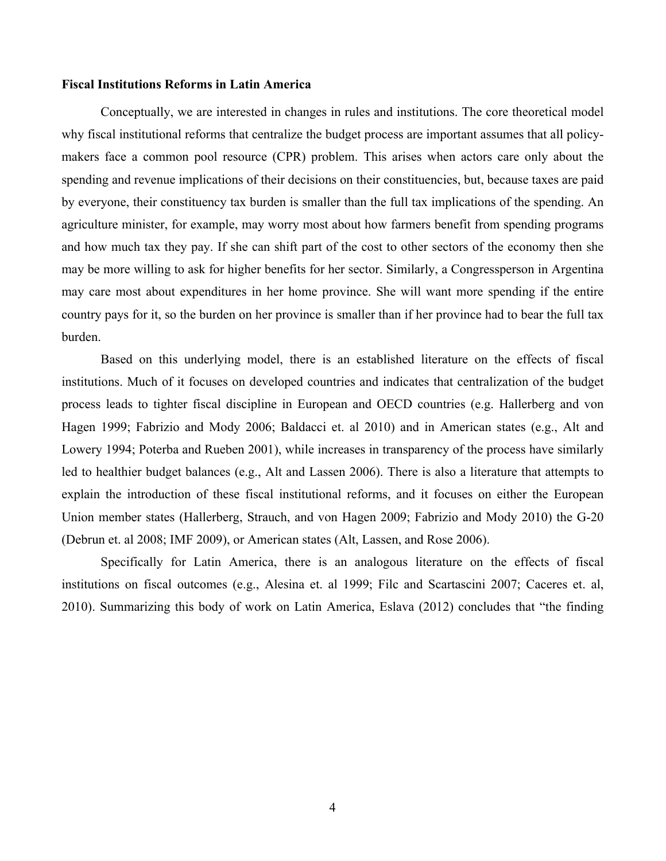#### **Fiscal Institutions Reforms in Latin America**

Conceptually, we are interested in changes in rules and institutions. The core theoretical model why fiscal institutional reforms that centralize the budget process are important assumes that all policymakers face a common pool resource (CPR) problem. This arises when actors care only about the spending and revenue implications of their decisions on their constituencies, but, because taxes are paid by everyone, their constituency tax burden is smaller than the full tax implications of the spending. An agriculture minister, for example, may worry most about how farmers benefit from spending programs and how much tax they pay. If she can shift part of the cost to other sectors of the economy then she may be more willing to ask for higher benefits for her sector. Similarly, a Congressperson in Argentina may care most about expenditures in her home province. She will want more spending if the entire country pays for it, so the burden on her province is smaller than if her province had to bear the full tax burden.

Based on this underlying model, there is an established literature on the effects of fiscal institutions. Much of it focuses on developed countries and indicates that centralization of the budget process leads to tighter fiscal discipline in European and OECD countries (e.g. Hallerberg and von Hagen 1999; Fabrizio and Mody 2006; Baldacci et. al 2010) and in American states (e.g., Alt and Lowery 1994; Poterba and Rueben 2001), while increases in transparency of the process have similarly led to healthier budget balances (e.g., Alt and Lassen 2006). There is also a literature that attempts to explain the introduction of these fiscal institutional reforms, and it focuses on either the European Union member states (Hallerberg, Strauch, and von Hagen 2009; Fabrizio and Mody 2010) the G-20 (Debrun et. al 2008; IMF 2009), or American states (Alt, Lassen, and Rose 2006).

Specifically for Latin America, there is an analogous literature on the effects of fiscal institutions on fiscal outcomes (e.g., Alesina et. al 1999; Filc and Scartascini 2007; Caceres et. al, 2010). Summarizing this body of work on Latin America, Eslava (2012) concludes that "the finding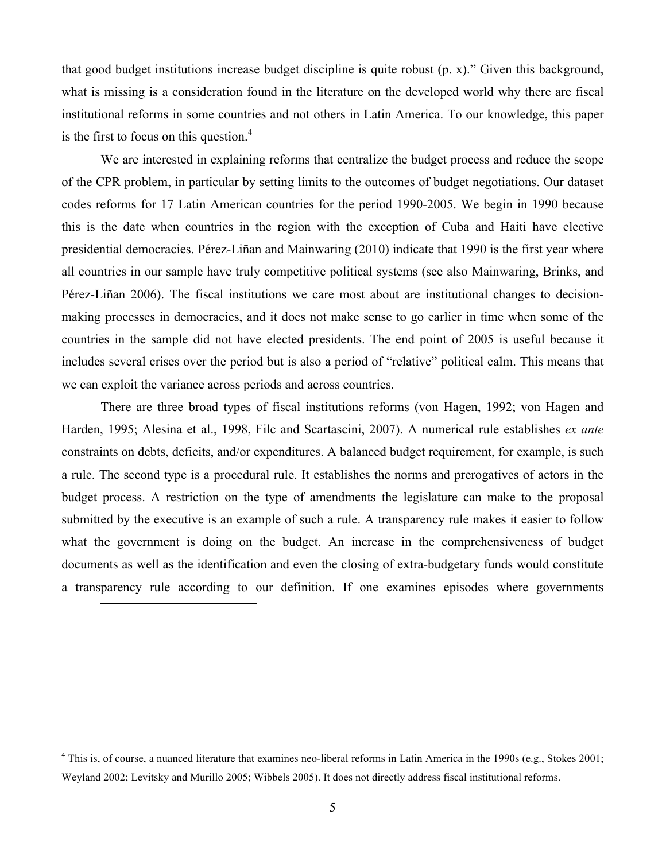that good budget institutions increase budget discipline is quite robust (p. x)." Given this background, what is missing is a consideration found in the literature on the developed world why there are fiscal institutional reforms in some countries and not others in Latin America. To our knowledge, this paper is the first to focus on this question. 4

We are interested in explaining reforms that centralize the budget process and reduce the scope of the CPR problem, in particular by setting limits to the outcomes of budget negotiations. Our dataset codes reforms for 17 Latin American countries for the period 1990-2005. We begin in 1990 because this is the date when countries in the region with the exception of Cuba and Haiti have elective presidential democracies. Pérez-Liñan and Mainwaring (2010) indicate that 1990 is the first year where all countries in our sample have truly competitive political systems (see also Mainwaring, Brinks, and Pérez-Liñan 2006). The fiscal institutions we care most about are institutional changes to decisionmaking processes in democracies, and it does not make sense to go earlier in time when some of the countries in the sample did not have elected presidents. The end point of 2005 is useful because it includes several crises over the period but is also a period of "relative" political calm. This means that we can exploit the variance across periods and across countries.

There are three broad types of fiscal institutions reforms (von Hagen, 1992; von Hagen and Harden, 1995; Alesina et al., 1998, Filc and Scartascini, 2007). A numerical rule establishes *ex ante* constraints on debts, deficits, and/or expenditures. A balanced budget requirement, for example, is such a rule. The second type is a procedural rule. It establishes the norms and prerogatives of actors in the budget process. A restriction on the type of amendments the legislature can make to the proposal submitted by the executive is an example of such a rule. A transparency rule makes it easier to follow what the government is doing on the budget. An increase in the comprehensiveness of budget documents as well as the identification and even the closing of extra-budgetary funds would constitute a transparency rule according to our definition. If one examines episodes where governments

<sup>&</sup>lt;sup>4</sup> This is, of course, a nuanced literature that examines neo-liberal reforms in Latin America in the 1990s (e.g., Stokes 2001; Weyland 2002; Levitsky and Murillo 2005; Wibbels 2005). It does not directly address fiscal institutional reforms.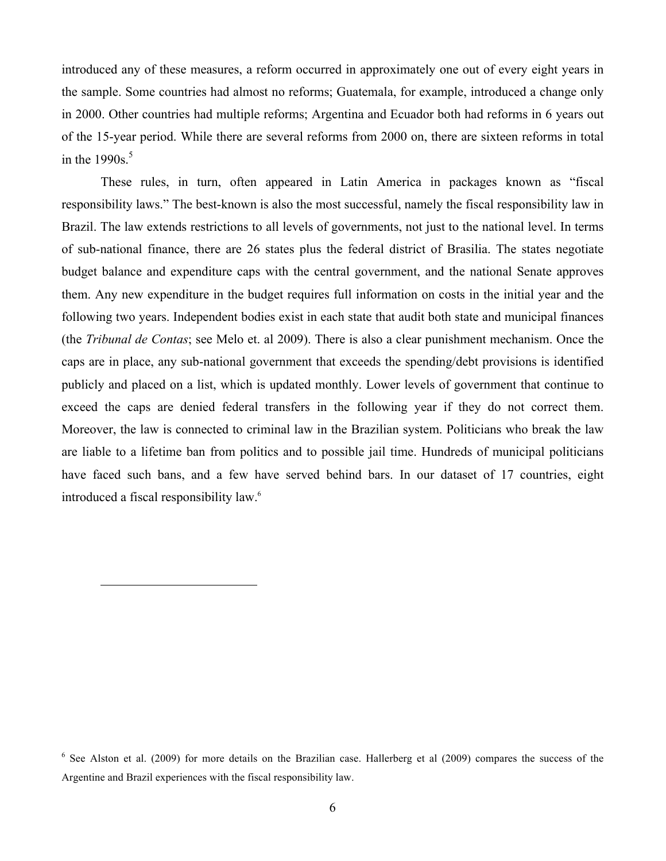introduced any of these measures, a reform occurred in approximately one out of every eight years in the sample. Some countries had almost no reforms; Guatemala, for example, introduced a change only in 2000. Other countries had multiple reforms; Argentina and Ecuador both had reforms in 6 years out of the 15-year period. While there are several reforms from 2000 on, there are sixteen reforms in total in the 1990s. 5

These rules, in turn, often appeared in Latin America in packages known as "fiscal responsibility laws." The best-known is also the most successful, namely the fiscal responsibility law in Brazil. The law extends restrictions to all levels of governments, not just to the national level. In terms of sub-national finance, there are 26 states plus the federal district of Brasilia. The states negotiate budget balance and expenditure caps with the central government, and the national Senate approves them. Any new expenditure in the budget requires full information on costs in the initial year and the following two years. Independent bodies exist in each state that audit both state and municipal finances (the *Tribunal de Contas*; see Melo et. al 2009). There is also a clear punishment mechanism. Once the caps are in place, any sub-national government that exceeds the spending/debt provisions is identified publicly and placed on a list, which is updated monthly. Lower levels of government that continue to exceed the caps are denied federal transfers in the following year if they do not correct them. Moreover, the law is connected to criminal law in the Brazilian system. Politicians who break the law are liable to a lifetime ban from politics and to possible jail time. Hundreds of municipal politicians have faced such bans, and a few have served behind bars. In our dataset of 17 countries, eight introduced a fiscal responsibility law.<sup>6</sup>

 $6$  See Alston et al. (2009) for more details on the Brazilian case. Hallerberg et al (2009) compares the success of the Argentine and Brazil experiences with the fiscal responsibility law.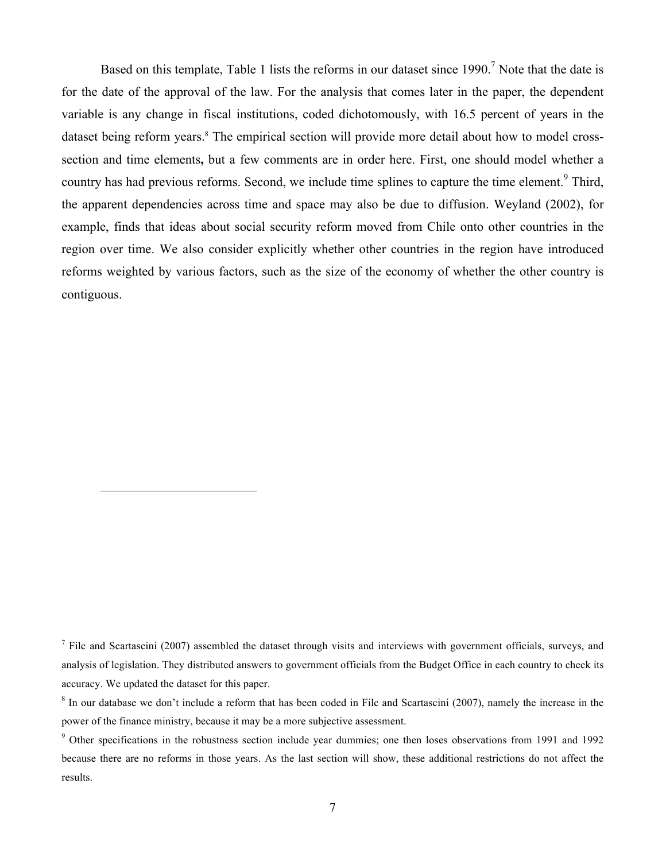Based on this template, Table 1 lists the reforms in our dataset since  $1990$ .<sup>7</sup> Note that the date is for the date of the approval of the law. For the analysis that comes later in the paper, the dependent variable is any change in fiscal institutions, coded dichotomously, with 16.5 percent of years in the dataset being reform years. <sup>8</sup> The empirical section will provide more detail about how to model crosssection and time elements**,** but a few comments are in order here. First, one should model whether a country has had previous reforms. Second, we include time splines to capture the time element.<sup>9</sup> Third, the apparent dependencies across time and space may also be due to diffusion. Weyland (2002), for example, finds that ideas about social security reform moved from Chile onto other countries in the region over time. We also consider explicitly whether other countries in the region have introduced reforms weighted by various factors, such as the size of the economy of whether the other country is contiguous.

 $<sup>7</sup>$  Filc and Scartascini (2007) assembled the dataset through visits and interviews with government officials, surveys, and</sup> analysis of legislation. They distributed answers to government officials from the Budget Office in each country to check its accuracy. We updated the dataset for this paper.

<sup>&</sup>lt;sup>8</sup> In our database we don't include a reform that has been coded in Filc and Scartascini (2007), namely the increase in the power of the finance ministry, because it may be a more subjective assessment.

<sup>&</sup>lt;sup>9</sup> Other specifications in the robustness section include year dummies; one then loses observations from 1991 and 1992 because there are no reforms in those years. As the last section will show, these additional restrictions do not affect the results.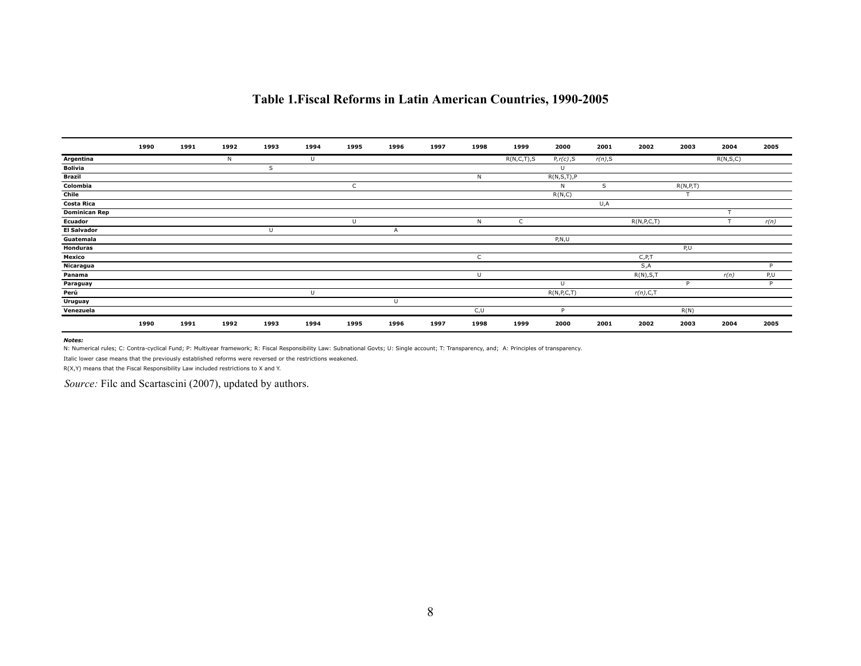| Table 1. Fiscal Reforms in Latin American Countries, 1990-2005 |  |  |  |  |  |  |  |  |
|----------------------------------------------------------------|--|--|--|--|--|--|--|--|
|----------------------------------------------------------------|--|--|--|--|--|--|--|--|

|                      | 1990 | 1991 | 1992 | 1993 | 1994 | 1995 | 1996 | 1997 | 1998 | 1999          | 2000          | 2001    | 2002          | 2003       | 2004     | 2005 |
|----------------------|------|------|------|------|------|------|------|------|------|---------------|---------------|---------|---------------|------------|----------|------|
| Argentina            |      |      | N    |      | U    |      |      |      |      | R(N, C, T), S | $P, r(c)$ , S | r(n), S |               |            | R(N,S,C) |      |
| <b>Bolivia</b>       |      |      |      | S    |      |      |      |      |      |               | U             |         |               |            |          |      |
| <b>Brazil</b>        |      |      |      |      |      |      |      |      | N    |               | R(N,S,T),P    |         |               |            |          |      |
| Colombia             |      |      |      |      |      | ι.   |      |      |      |               | N             | S       |               | R(N, P, T) |          |      |
| Chile                |      |      |      |      |      |      |      |      |      |               | R(N,C)        |         |               |            |          |      |
| <b>Costa Rica</b>    |      |      |      |      |      |      |      |      |      |               |               | U,A     |               |            |          |      |
| <b>Dominican Rep</b> |      |      |      |      |      |      |      |      |      |               |               |         |               |            |          |      |
| <b>Ecuador</b>       |      |      |      |      |      | U    |      |      | N    | C             |               |         | R(N, P, C, T) |            |          | r(n) |
| <b>El Salvador</b>   |      |      |      | L    |      |      | A    |      |      |               |               |         |               |            |          |      |
| Guatemala            |      |      |      |      |      |      |      |      |      |               | P, N, U       |         |               |            |          |      |
| Honduras             |      |      |      |      |      |      |      |      |      |               |               |         |               | P,U        |          |      |
| Mexico               |      |      |      |      |      |      |      |      | C    |               |               |         | C, P, T       |            |          |      |
| Nicaragua            |      |      |      |      |      |      |      |      |      |               |               |         | S,A           |            |          | D.   |
| Panama               |      |      |      |      |      |      |      |      | U    |               |               |         | R(N), S, T    |            | r(n)     | P,U  |
| Paraguay             |      |      |      |      |      |      |      |      |      |               | U             |         |               | D          |          | P    |
| Perú                 |      |      |      |      |      |      |      |      |      |               | R(N, P, C, T) |         | $r(n)$ , C, T |            |          |      |
| Uruguay              |      |      |      |      |      |      | U    |      |      |               |               |         |               |            |          |      |
| Venezuela            |      |      |      |      |      |      |      |      | C,U  |               | D.            |         |               | R(N)       |          |      |
|                      | 1990 | 1991 | 1992 | 1993 | 1994 | 1995 | 1996 | 1997 | 1998 | 1999          | 2000          | 2001    | 2002          | 2003       | 2004     | 2005 |

#### *Notes:*

N: Numerical rules; C: Contra-cyclical Fund; P: Multiyear framework; R: Fiscal Responsibility Law: Subnational Govts; U: Single account; T: Transparency, and; A: Principles of transparency.

Italic lower case means that the previously established reforms were reversed or the restrictions weakened.

R(X,Y) means that the Fiscal Responsibility Law included restrictions to X and Y.

*Source:* Filc and Scartascini (2007), updated by authors.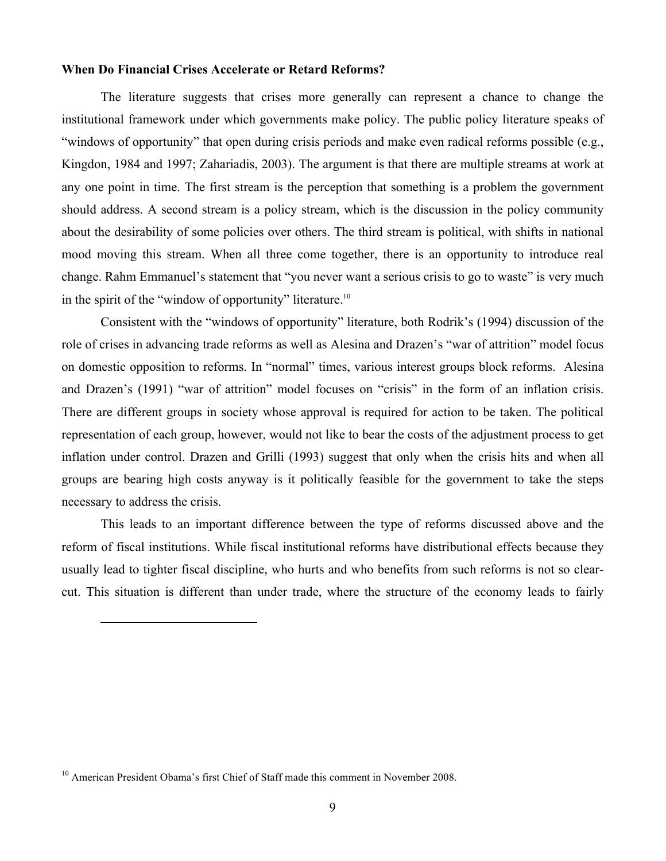### **When Do Financial Crises Accelerate or Retard Reforms?**

The literature suggests that crises more generally can represent a chance to change the institutional framework under which governments make policy. The public policy literature speaks of "windows of opportunity" that open during crisis periods and make even radical reforms possible (e.g., Kingdon, 1984 and 1997; Zahariadis, 2003). The argument is that there are multiple streams at work at any one point in time. The first stream is the perception that something is a problem the government should address. A second stream is a policy stream, which is the discussion in the policy community about the desirability of some policies over others. The third stream is political, with shifts in national mood moving this stream. When all three come together, there is an opportunity to introduce real change. Rahm Emmanuel's statement that "you never want a serious crisis to go to waste" is very much in the spirit of the "window of opportunity" literature.<sup>10</sup>

Consistent with the "windows of opportunity" literature, both Rodrik's (1994) discussion of the role of crises in advancing trade reforms as well as Alesina and Drazen's "war of attrition" model focus on domestic opposition to reforms. In "normal" times, various interest groups block reforms. Alesina and Drazen's (1991) "war of attrition" model focuses on "crisis" in the form of an inflation crisis. There are different groups in society whose approval is required for action to be taken. The political representation of each group, however, would not like to bear the costs of the adjustment process to get inflation under control. Drazen and Grilli (1993) suggest that only when the crisis hits and when all groups are bearing high costs anyway is it politically feasible for the government to take the steps necessary to address the crisis.

This leads to an important difference between the type of reforms discussed above and the reform of fiscal institutions. While fiscal institutional reforms have distributional effects because they usually lead to tighter fiscal discipline, who hurts and who benefits from such reforms is not so clearcut. This situation is different than under trade, where the structure of the economy leads to fairly

<sup>&</sup>lt;sup>10</sup> American President Obama's first Chief of Staff made this comment in November 2008.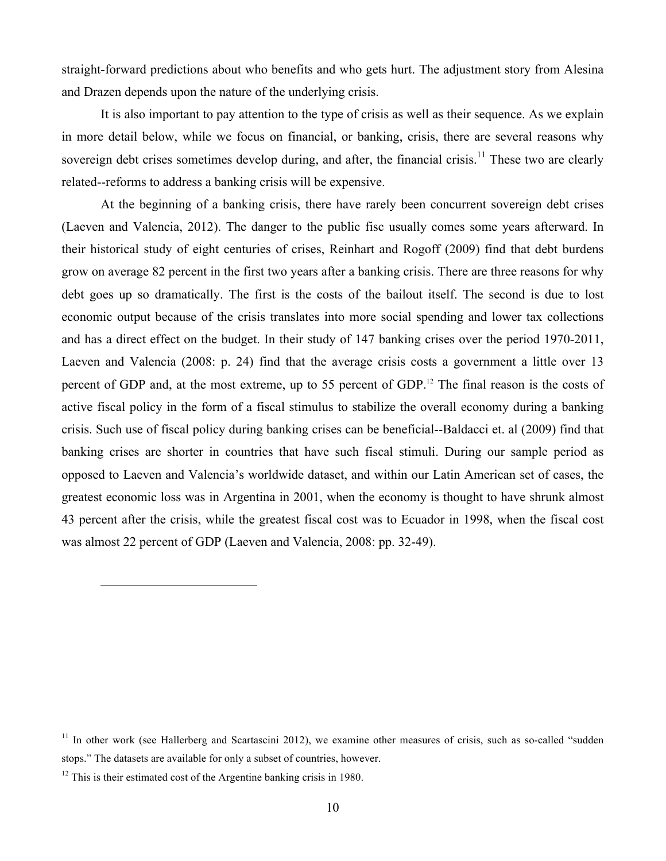straight-forward predictions about who benefits and who gets hurt. The adjustment story from Alesina and Drazen depends upon the nature of the underlying crisis.

It is also important to pay attention to the type of crisis as well as their sequence. As we explain in more detail below, while we focus on financial, or banking, crisis, there are several reasons why sovereign debt crises sometimes develop during, and after, the financial crisis.<sup>11</sup> These two are clearly related--reforms to address a banking crisis will be expensive.

At the beginning of a banking crisis, there have rarely been concurrent sovereign debt crises (Laeven and Valencia, 2012). The danger to the public fisc usually comes some years afterward. In their historical study of eight centuries of crises, Reinhart and Rogoff (2009) find that debt burdens grow on average 82 percent in the first two years after a banking crisis. There are three reasons for why debt goes up so dramatically. The first is the costs of the bailout itself. The second is due to lost economic output because of the crisis translates into more social spending and lower tax collections and has a direct effect on the budget. In their study of 147 banking crises over the period 1970-2011, Laeven and Valencia (2008: p. 24) find that the average crisis costs a government a little over 13 percent of GDP and, at the most extreme, up to 55 percent of GDP.<sup>12</sup> The final reason is the costs of active fiscal policy in the form of a fiscal stimulus to stabilize the overall economy during a banking crisis. Such use of fiscal policy during banking crises can be beneficial--Baldacci et. al (2009) find that banking crises are shorter in countries that have such fiscal stimuli. During our sample period as opposed to Laeven and Valencia's worldwide dataset, and within our Latin American set of cases, the greatest economic loss was in Argentina in 2001, when the economy is thought to have shrunk almost 43 percent after the crisis, while the greatest fiscal cost was to Ecuador in 1998, when the fiscal cost was almost 22 percent of GDP (Laeven and Valencia, 2008: pp. 32-49).

 $11$  In other work (see Hallerberg and Scartascini 2012), we examine other measures of crisis, such as so-called "sudden stops." The datasets are available for only a subset of countries, however.

 $12$  This is their estimated cost of the Argentine banking crisis in 1980.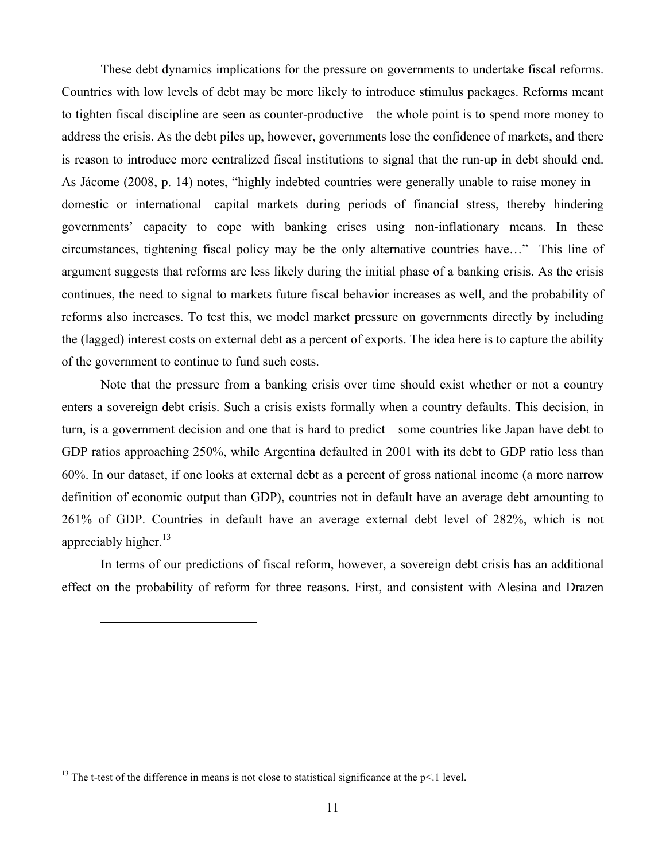These debt dynamics implications for the pressure on governments to undertake fiscal reforms. Countries with low levels of debt may be more likely to introduce stimulus packages. Reforms meant to tighten fiscal discipline are seen as counter-productive—the whole point is to spend more money to address the crisis. As the debt piles up, however, governments lose the confidence of markets, and there is reason to introduce more centralized fiscal institutions to signal that the run-up in debt should end. As Jácome (2008, p. 14) notes, "highly indebted countries were generally unable to raise money in domestic or international—capital markets during periods of financial stress, thereby hindering governments' capacity to cope with banking crises using non-inflationary means. In these circumstances, tightening fiscal policy may be the only alternative countries have…" This line of argument suggests that reforms are less likely during the initial phase of a banking crisis. As the crisis continues, the need to signal to markets future fiscal behavior increases as well, and the probability of reforms also increases. To test this, we model market pressure on governments directly by including the (lagged) interest costs on external debt as a percent of exports. The idea here is to capture the ability of the government to continue to fund such costs.

Note that the pressure from a banking crisis over time should exist whether or not a country enters a sovereign debt crisis. Such a crisis exists formally when a country defaults. This decision, in turn, is a government decision and one that is hard to predict—some countries like Japan have debt to GDP ratios approaching 250%, while Argentina defaulted in 2001 with its debt to GDP ratio less than 60%. In our dataset, if one looks at external debt as a percent of gross national income (a more narrow definition of economic output than GDP), countries not in default have an average debt amounting to 261% of GDP. Countries in default have an average external debt level of 282%, which is not appreciably higher. $13$ 

In terms of our predictions of fiscal reform, however, a sovereign debt crisis has an additional effect on the probability of reform for three reasons. First, and consistent with Alesina and Drazen

<sup>&</sup>lt;sup>13</sup> The t-test of the difference in means is not close to statistical significance at the  $p<1$  level.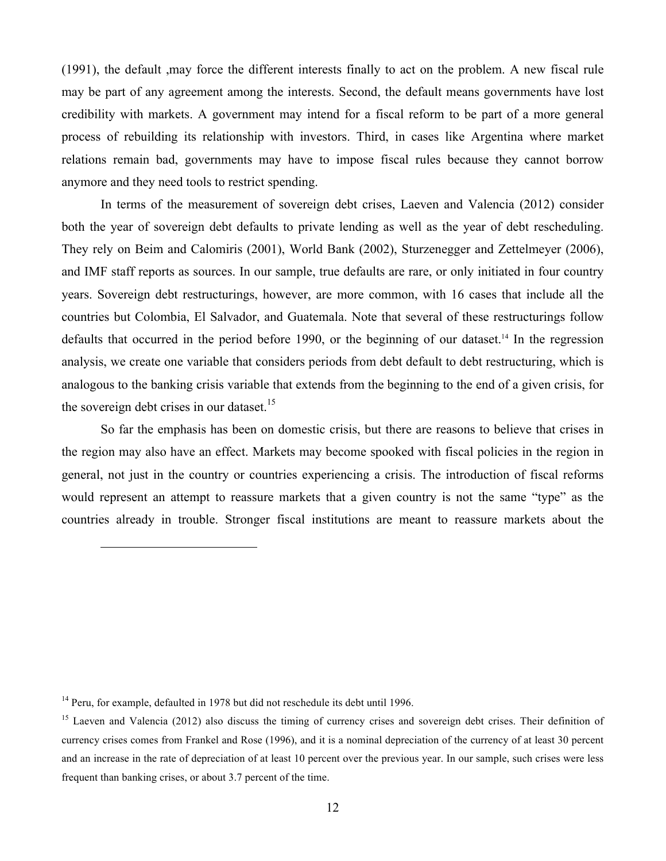(1991), the default ,may force the different interests finally to act on the problem. A new fiscal rule may be part of any agreement among the interests. Second, the default means governments have lost credibility with markets. A government may intend for a fiscal reform to be part of a more general process of rebuilding its relationship with investors. Third, in cases like Argentina where market relations remain bad, governments may have to impose fiscal rules because they cannot borrow anymore and they need tools to restrict spending.

In terms of the measurement of sovereign debt crises, Laeven and Valencia (2012) consider both the year of sovereign debt defaults to private lending as well as the year of debt rescheduling. They rely on Beim and Calomiris (2001), World Bank (2002), Sturzenegger and Zettelmeyer (2006), and IMF staff reports as sources. In our sample, true defaults are rare, or only initiated in four country years. Sovereign debt restructurings, however, are more common, with 16 cases that include all the countries but Colombia, El Salvador, and Guatemala. Note that several of these restructurings follow defaults that occurred in the period before 1990, or the beginning of our dataset.<sup>14</sup> In the regression analysis, we create one variable that considers periods from debt default to debt restructuring, which is analogous to the banking crisis variable that extends from the beginning to the end of a given crisis, for the sovereign debt crises in our dataset.<sup>15</sup>

So far the emphasis has been on domestic crisis, but there are reasons to believe that crises in the region may also have an effect. Markets may become spooked with fiscal policies in the region in general, not just in the country or countries experiencing a crisis. The introduction of fiscal reforms would represent an attempt to reassure markets that a given country is not the same "type" as the countries already in trouble. Stronger fiscal institutions are meant to reassure markets about the

<sup>&</sup>lt;sup>14</sup> Peru, for example, defaulted in 1978 but did not reschedule its debt until 1996.

<sup>&</sup>lt;sup>15</sup> Laeven and Valencia (2012) also discuss the timing of currency crises and sovereign debt crises. Their definition of currency crises comes from Frankel and Rose (1996), and it is a nominal depreciation of the currency of at least 30 percent and an increase in the rate of depreciation of at least 10 percent over the previous year. In our sample, such crises were less frequent than banking crises, or about 3.7 percent of the time.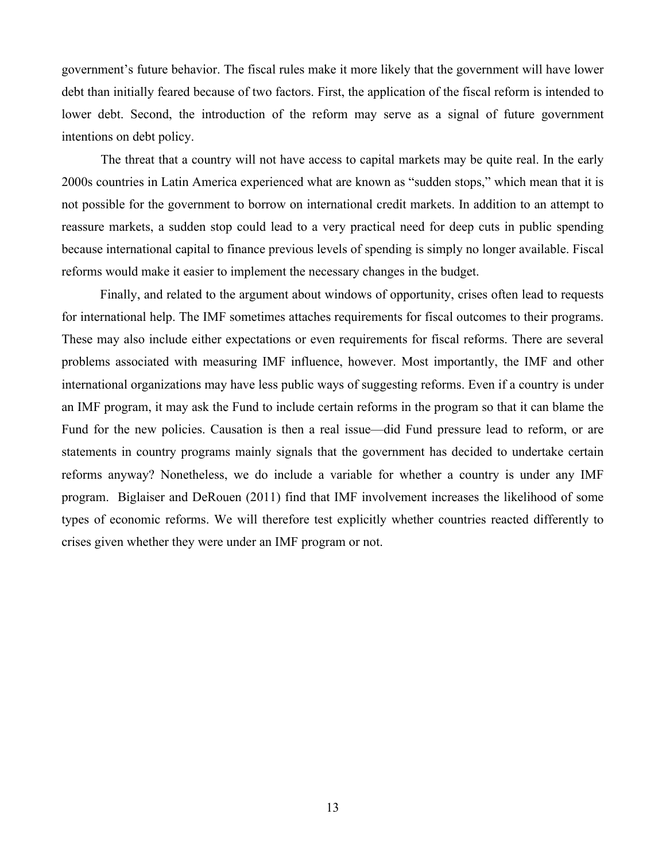government's future behavior. The fiscal rules make it more likely that the government will have lower debt than initially feared because of two factors. First, the application of the fiscal reform is intended to lower debt. Second, the introduction of the reform may serve as a signal of future government intentions on debt policy.

The threat that a country will not have access to capital markets may be quite real. In the early 2000s countries in Latin America experienced what are known as "sudden stops," which mean that it is not possible for the government to borrow on international credit markets. In addition to an attempt to reassure markets, a sudden stop could lead to a very practical need for deep cuts in public spending because international capital to finance previous levels of spending is simply no longer available. Fiscal reforms would make it easier to implement the necessary changes in the budget.

Finally, and related to the argument about windows of opportunity, crises often lead to requests for international help. The IMF sometimes attaches requirements for fiscal outcomes to their programs. These may also include either expectations or even requirements for fiscal reforms. There are several problems associated with measuring IMF influence, however. Most importantly, the IMF and other international organizations may have less public ways of suggesting reforms. Even if a country is under an IMF program, it may ask the Fund to include certain reforms in the program so that it can blame the Fund for the new policies. Causation is then a real issue—did Fund pressure lead to reform, or are statements in country programs mainly signals that the government has decided to undertake certain reforms anyway? Nonetheless, we do include a variable for whether a country is under any IMF program. Biglaiser and DeRouen (2011) find that IMF involvement increases the likelihood of some types of economic reforms. We will therefore test explicitly whether countries reacted differently to crises given whether they were under an IMF program or not.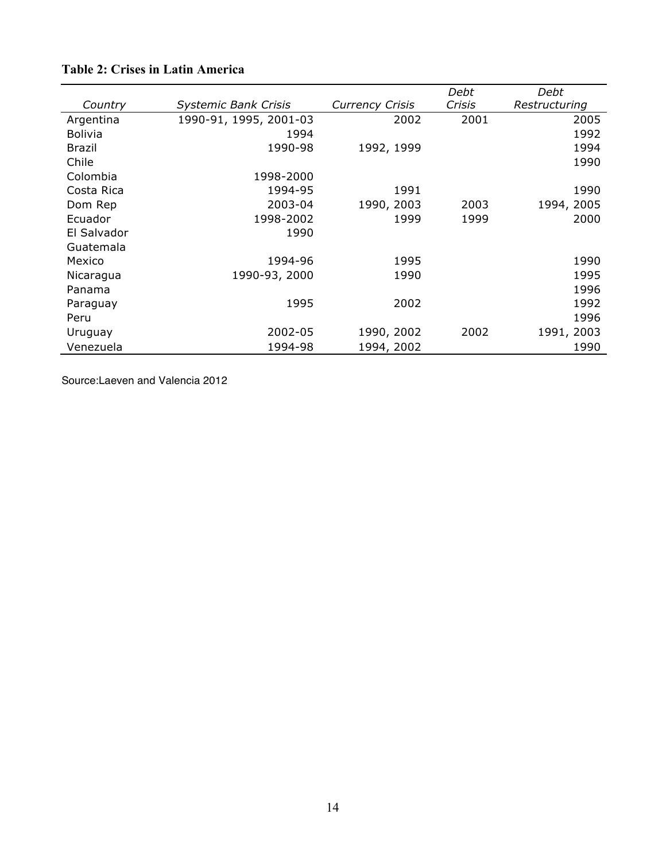|                |                             |                        | Debt   | Debt          |
|----------------|-----------------------------|------------------------|--------|---------------|
| Country        | <b>Systemic Bank Crisis</b> | <b>Currency Crisis</b> | Crisis | Restructuring |
| Argentina      | 1990-91, 1995, 2001-03      | 2002                   | 2001   | 2005          |
| <b>Bolivia</b> | 1994                        |                        |        | 1992          |
| <b>Brazil</b>  | 1990-98                     | 1992, 1999             |        | 1994          |
| Chile          |                             |                        |        | 1990          |
| Colombia       | 1998-2000                   |                        |        |               |
| Costa Rica     | 1994-95                     | 1991                   |        | 1990          |
| Dom Rep        | 2003-04                     | 1990, 2003             | 2003   | 1994, 2005    |
| Ecuador        | 1998-2002                   | 1999                   | 1999   | 2000          |
| El Salvador    | 1990                        |                        |        |               |
| Guatemala      |                             |                        |        |               |
| Mexico         | 1994-96                     | 1995                   |        | 1990          |
| Nicaragua      | 1990-93, 2000               | 1990                   |        | 1995          |
| Panama         |                             |                        |        | 1996          |
| Paraguay       | 1995                        | 2002                   |        | 1992          |
| Peru           |                             |                        |        | 1996          |
| Uruguay        | 2002-05                     | 1990, 2002             | 2002   | 1991, 2003    |
| Venezuela      | 1994-98                     | 1994, 2002             |        | 1990          |

# **Table 2: Crises in Latin America**

Source:Laeven and Valencia 2012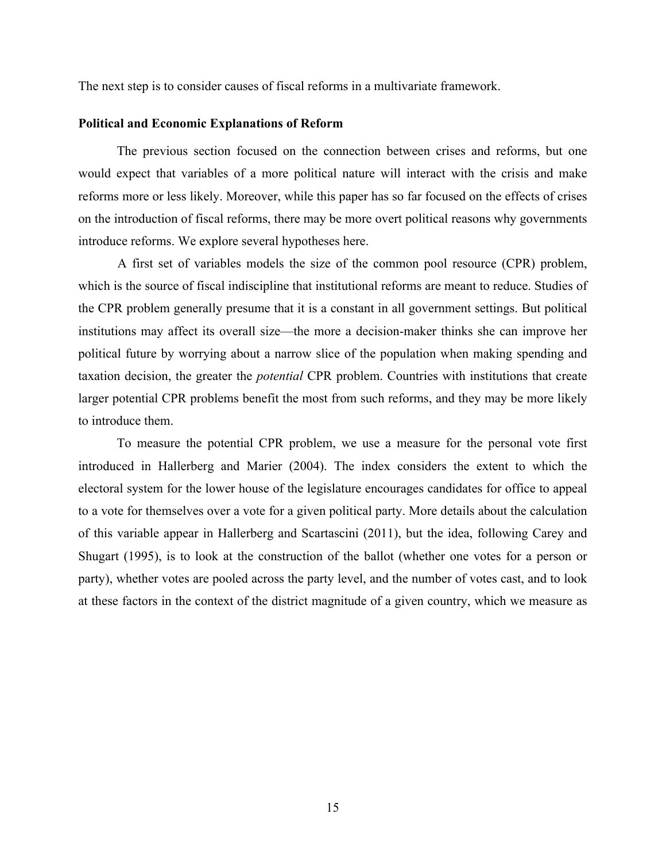The next step is to consider causes of fiscal reforms in a multivariate framework.

#### **Political and Economic Explanations of Reform**

The previous section focused on the connection between crises and reforms, but one would expect that variables of a more political nature will interact with the crisis and make reforms more or less likely. Moreover, while this paper has so far focused on the effects of crises on the introduction of fiscal reforms, there may be more overt political reasons why governments introduce reforms. We explore several hypotheses here.

A first set of variables models the size of the common pool resource (CPR) problem, which is the source of fiscal indiscipline that institutional reforms are meant to reduce. Studies of the CPR problem generally presume that it is a constant in all government settings. But political institutions may affect its overall size—the more a decision-maker thinks she can improve her political future by worrying about a narrow slice of the population when making spending and taxation decision, the greater the *potential* CPR problem. Countries with institutions that create larger potential CPR problems benefit the most from such reforms, and they may be more likely to introduce them.

To measure the potential CPR problem, we use a measure for the personal vote first introduced in Hallerberg and Marier (2004). The index considers the extent to which the electoral system for the lower house of the legislature encourages candidates for office to appeal to a vote for themselves over a vote for a given political party. More details about the calculation of this variable appear in Hallerberg and Scartascini (2011), but the idea, following Carey and Shugart (1995), is to look at the construction of the ballot (whether one votes for a person or party), whether votes are pooled across the party level, and the number of votes cast, and to look at these factors in the context of the district magnitude of a given country, which we measure as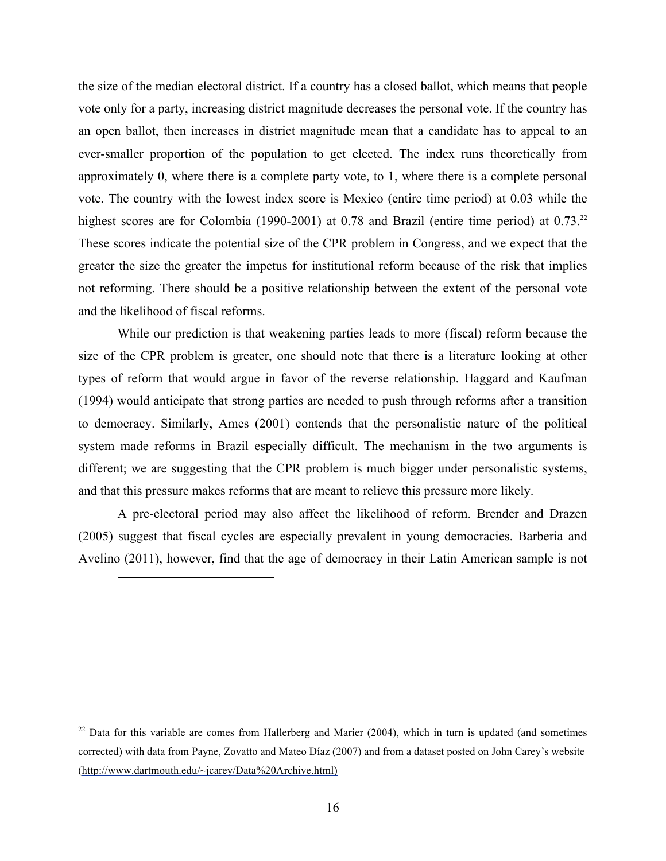the size of the median electoral district. If a country has a closed ballot, which means that people vote only for a party, increasing district magnitude decreases the personal vote. If the country has an open ballot, then increases in district magnitude mean that a candidate has to appeal to an ever-smaller proportion of the population to get elected. The index runs theoretically from approximately 0, where there is a complete party vote, to 1, where there is a complete personal vote. The country with the lowest index score is Mexico (entire time period) at 0.03 while the highest scores are for Colombia (1990-2001) at 0.78 and Brazil (entire time period) at 0.73.<sup>22</sup> These scores indicate the potential size of the CPR problem in Congress, and we expect that the greater the size the greater the impetus for institutional reform because of the risk that implies not reforming. There should be a positive relationship between the extent of the personal vote and the likelihood of fiscal reforms.

While our prediction is that weakening parties leads to more (fiscal) reform because the size of the CPR problem is greater, one should note that there is a literature looking at other types of reform that would argue in favor of the reverse relationship. Haggard and Kaufman (1994) would anticipate that strong parties are needed to push through reforms after a transition to democracy. Similarly, Ames (2001) contends that the personalistic nature of the political system made reforms in Brazil especially difficult. The mechanism in the two arguments is different; we are suggesting that the CPR problem is much bigger under personalistic systems, and that this pressure makes reforms that are meant to relieve this pressure more likely.

A pre-electoral period may also affect the likelihood of reform. Brender and Drazen (2005) suggest that fiscal cycles are especially prevalent in young democracies. Barberia and Avelino (2011), however, find that the age of democracy in their Latin American sample is not

 $22$  Data for this variable are comes from Hallerberg and Marier (2004), which in turn is updated (and sometimes corrected) with data from Payne, Zovatto and Mateo Díaz (2007) and from a dataset posted on John Carey's website (http://www.dartmouth.edu/~jcarey/Data%20Archive.html)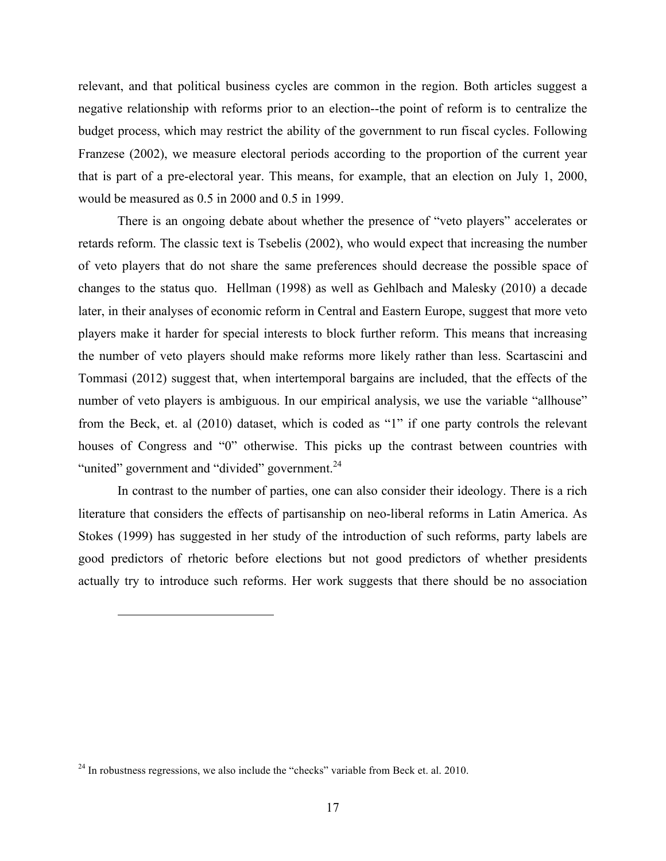relevant, and that political business cycles are common in the region. Both articles suggest a negative relationship with reforms prior to an election--the point of reform is to centralize the budget process, which may restrict the ability of the government to run fiscal cycles. Following Franzese (2002), we measure electoral periods according to the proportion of the current year that is part of a pre-electoral year. This means, for example, that an election on July 1, 2000, would be measured as 0.5 in 2000 and 0.5 in 1999.

There is an ongoing debate about whether the presence of "veto players" accelerates or retards reform. The classic text is Tsebelis (2002), who would expect that increasing the number of veto players that do not share the same preferences should decrease the possible space of changes to the status quo. Hellman (1998) as well as Gehlbach and Malesky (2010) a decade later, in their analyses of economic reform in Central and Eastern Europe, suggest that more veto players make it harder for special interests to block further reform. This means that increasing the number of veto players should make reforms more likely rather than less. Scartascini and Tommasi (2012) suggest that, when intertemporal bargains are included, that the effects of the number of veto players is ambiguous. In our empirical analysis, we use the variable "allhouse" from the Beck, et. al (2010) dataset, which is coded as "1" if one party controls the relevant houses of Congress and "0" otherwise. This picks up the contrast between countries with "united" government and "divided" government.<sup>24</sup>

In contrast to the number of parties, one can also consider their ideology. There is a rich literature that considers the effects of partisanship on neo-liberal reforms in Latin America. As Stokes (1999) has suggested in her study of the introduction of such reforms, party labels are good predictors of rhetoric before elections but not good predictors of whether presidents actually try to introduce such reforms. Her work suggests that there should be no association

 $^{24}$  In robustness regressions, we also include the "checks" variable from Beck et. al. 2010.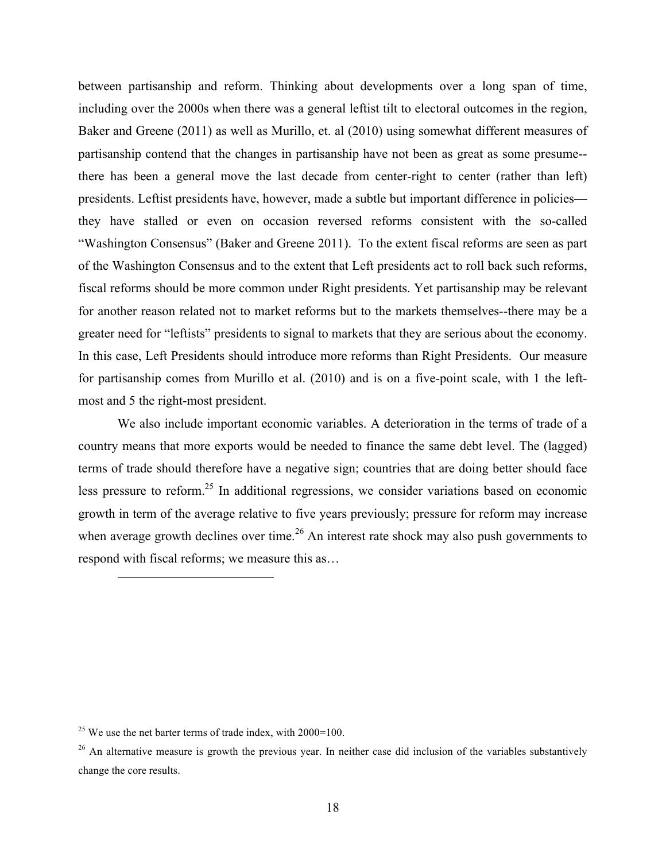between partisanship and reform. Thinking about developments over a long span of time, including over the 2000s when there was a general leftist tilt to electoral outcomes in the region, Baker and Greene (2011) as well as Murillo, et. al (2010) using somewhat different measures of partisanship contend that the changes in partisanship have not been as great as some presume- there has been a general move the last decade from center-right to center (rather than left) presidents. Leftist presidents have, however, made a subtle but important difference in policies they have stalled or even on occasion reversed reforms consistent with the so-called "Washington Consensus" (Baker and Greene 2011). To the extent fiscal reforms are seen as part of the Washington Consensus and to the extent that Left presidents act to roll back such reforms, fiscal reforms should be more common under Right presidents. Yet partisanship may be relevant for another reason related not to market reforms but to the markets themselves--there may be a greater need for "leftists" presidents to signal to markets that they are serious about the economy. In this case, Left Presidents should introduce more reforms than Right Presidents. Our measure for partisanship comes from Murillo et al. (2010) and is on a five-point scale, with 1 the leftmost and 5 the right-most president.

We also include important economic variables. A deterioration in the terms of trade of a country means that more exports would be needed to finance the same debt level. The (lagged) terms of trade should therefore have a negative sign; countries that are doing better should face less pressure to reform.<sup>25</sup> In additional regressions, we consider variations based on economic growth in term of the average relative to five years previously; pressure for reform may increase when average growth declines over time.<sup>26</sup> An interest rate shock may also push governments to respond with fiscal reforms; we measure this as…

 $25$  We use the net barter terms of trade index, with  $2000=100$ .

 $26$  An alternative measure is growth the previous year. In neither case did inclusion of the variables substantively change the core results.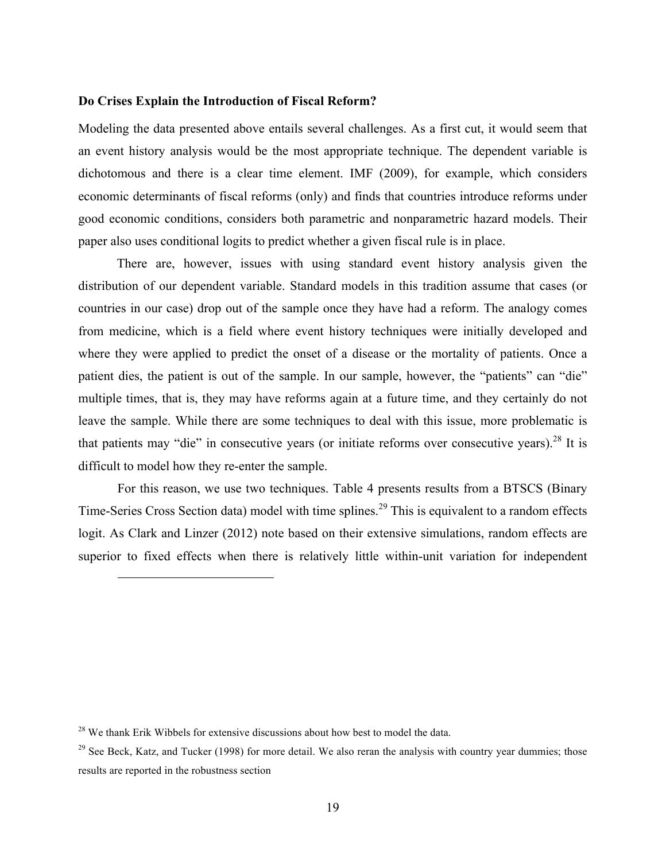#### **Do Crises Explain the Introduction of Fiscal Reform?**

Modeling the data presented above entails several challenges. As a first cut, it would seem that an event history analysis would be the most appropriate technique. The dependent variable is dichotomous and there is a clear time element. IMF (2009), for example, which considers economic determinants of fiscal reforms (only) and finds that countries introduce reforms under good economic conditions, considers both parametric and nonparametric hazard models. Their paper also uses conditional logits to predict whether a given fiscal rule is in place.

There are, however, issues with using standard event history analysis given the distribution of our dependent variable. Standard models in this tradition assume that cases (or countries in our case) drop out of the sample once they have had a reform. The analogy comes from medicine, which is a field where event history techniques were initially developed and where they were applied to predict the onset of a disease or the mortality of patients. Once a patient dies, the patient is out of the sample. In our sample, however, the "patients" can "die" multiple times, that is, they may have reforms again at a future time, and they certainly do not leave the sample. While there are some techniques to deal with this issue, more problematic is that patients may "die" in consecutive years (or initiate reforms over consecutive years).<sup>28</sup> It is difficult to model how they re-enter the sample.

For this reason, we use two techniques. Table 4 presents results from a BTSCS (Binary Time-Series Cross Section data) model with time splines.<sup>29</sup> This is equivalent to a random effects logit. As Clark and Linzer (2012) note based on their extensive simulations, random effects are superior to fixed effects when there is relatively little within-unit variation for independent

 $28$  We thank Erik Wibbels for extensive discussions about how best to model the data.

<sup>&</sup>lt;sup>29</sup> See Beck, Katz, and Tucker (1998) for more detail. We also reran the analysis with country year dummies; those results are reported in the robustness section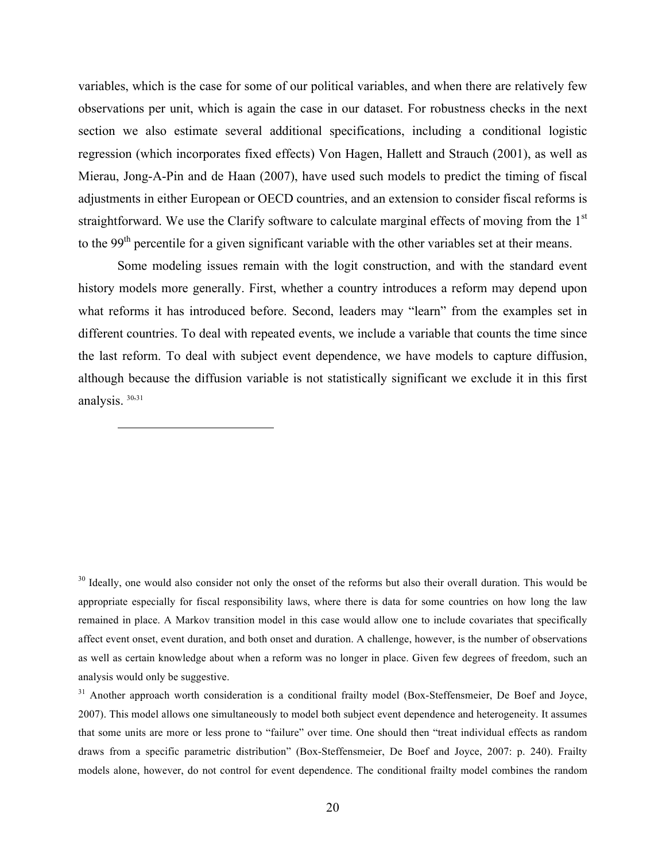variables, which is the case for some of our political variables, and when there are relatively few observations per unit, which is again the case in our dataset. For robustness checks in the next section we also estimate several additional specifications, including a conditional logistic regression (which incorporates fixed effects) Von Hagen, Hallett and Strauch (2001), as well as Mierau, Jong-A-Pin and de Haan (2007), have used such models to predict the timing of fiscal adjustments in either European or OECD countries, and an extension to consider fiscal reforms is straightforward. We use the Clarify software to calculate marginal effects of moving from the 1<sup>st</sup> to the 99<sup>th</sup> percentile for a given significant variable with the other variables set at their means.

Some modeling issues remain with the logit construction, and with the standard event history models more generally. First, whether a country introduces a reform may depend upon what reforms it has introduced before. Second, leaders may "learn" from the examples set in different countries. To deal with repeated events, we include a variable that counts the time since the last reform. To deal with subject event dependence, we have models to capture diffusion, although because the diffusion variable is not statistically significant we exclude it in this first analysis. 30,31

 $\overline{a}$ 

<sup>30</sup> Ideally, one would also consider not only the onset of the reforms but also their overall duration. This would be appropriate especially for fiscal responsibility laws, where there is data for some countries on how long the law remained in place. A Markov transition model in this case would allow one to include covariates that specifically affect event onset, event duration, and both onset and duration. A challenge, however, is the number of observations as well as certain knowledge about when a reform was no longer in place. Given few degrees of freedom, such an analysis would only be suggestive.

<sup>31</sup> Another approach worth consideration is a conditional frailty model (Box-Steffensmeier, De Boef and Joyce, 2007). This model allows one simultaneously to model both subject event dependence and heterogeneity. It assumes that some units are more or less prone to "failure" over time. One should then "treat individual effects as random draws from a specific parametric distribution" (Box-Steffensmeier, De Boef and Joyce, 2007: p. 240). Frailty models alone, however, do not control for event dependence. The conditional frailty model combines the random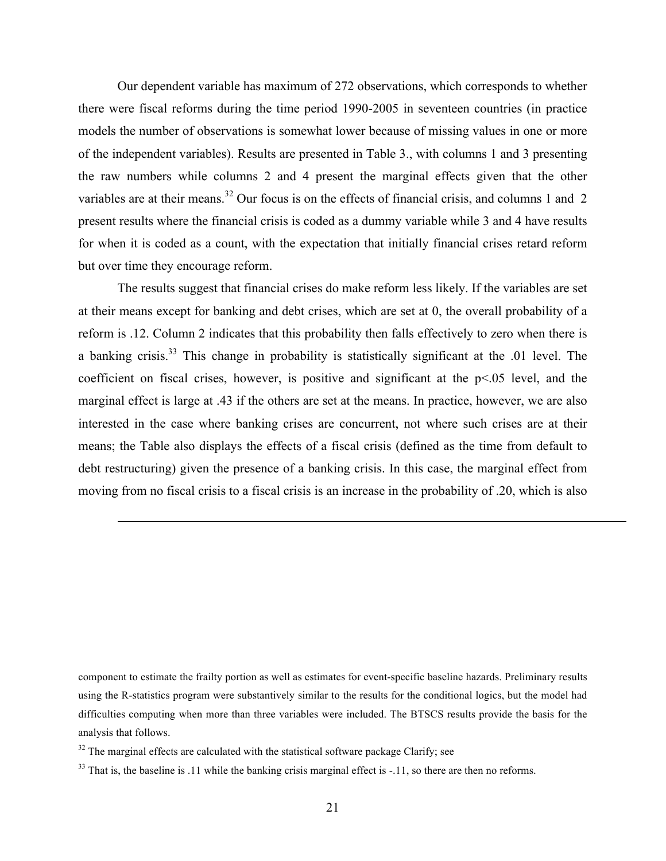Our dependent variable has maximum of 272 observations, which corresponds to whether there were fiscal reforms during the time period 1990-2005 in seventeen countries (in practice models the number of observations is somewhat lower because of missing values in one or more of the independent variables). Results are presented in Table 3., with columns 1 and 3 presenting the raw numbers while columns 2 and 4 present the marginal effects given that the other variables are at their means.<sup>32</sup> Our focus is on the effects of financial crisis, and columns 1 and 2 present results where the financial crisis is coded as a dummy variable while 3 and 4 have results for when it is coded as a count, with the expectation that initially financial crises retard reform but over time they encourage reform.

The results suggest that financial crises do make reform less likely. If the variables are set at their means except for banking and debt crises, which are set at 0, the overall probability of a reform is .12. Column 2 indicates that this probability then falls effectively to zero when there is a banking crisis.<sup>33</sup> This change in probability is statistically significant at the .01 level. The coefficient on fiscal crises, however, is positive and significant at the p<.05 level, and the marginal effect is large at .43 if the others are set at the means. In practice, however, we are also interested in the case where banking crises are concurrent, not where such crises are at their means; the Table also displays the effects of a fiscal crisis (defined as the time from default to debt restructuring) given the presence of a banking crisis. In this case, the marginal effect from moving from no fiscal crisis to a fiscal crisis is an increase in the probability of .20, which is also

component to estimate the frailty portion as well as estimates for event-specific baseline hazards. Preliminary results using the R-statistics program were substantively similar to the results for the conditional logics, but the model had difficulties computing when more than three variables were included. The BTSCS results provide the basis for the analysis that follows.

 $32$  The marginal effects are calculated with the statistical software package Clarify; see

 $\overline{a}$ 

 $33$  That is, the baseline is .11 while the banking crisis marginal effect is  $-11$ , so there are then no reforms.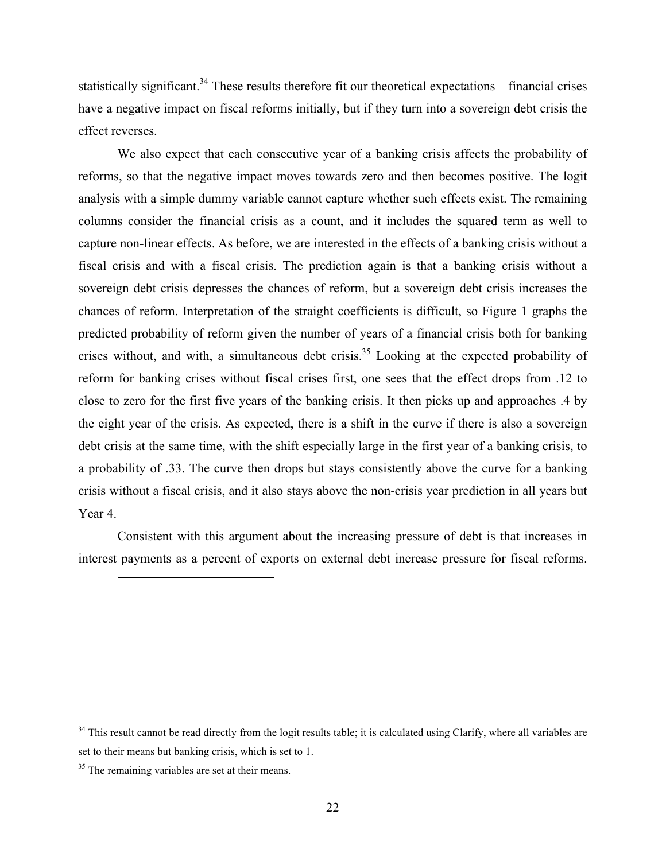statistically significant.<sup>34</sup> These results therefore fit our theoretical expectations—financial crises have a negative impact on fiscal reforms initially, but if they turn into a sovereign debt crisis the effect reverses.

We also expect that each consecutive year of a banking crisis affects the probability of reforms, so that the negative impact moves towards zero and then becomes positive. The logit analysis with a simple dummy variable cannot capture whether such effects exist. The remaining columns consider the financial crisis as a count, and it includes the squared term as well to capture non-linear effects. As before, we are interested in the effects of a banking crisis without a fiscal crisis and with a fiscal crisis. The prediction again is that a banking crisis without a sovereign debt crisis depresses the chances of reform, but a sovereign debt crisis increases the chances of reform. Interpretation of the straight coefficients is difficult, so Figure 1 graphs the predicted probability of reform given the number of years of a financial crisis both for banking crises without, and with, a simultaneous debt crisis.<sup>35</sup> Looking at the expected probability of reform for banking crises without fiscal crises first, one sees that the effect drops from .12 to close to zero for the first five years of the banking crisis. It then picks up and approaches .4 by the eight year of the crisis. As expected, there is a shift in the curve if there is also a sovereign debt crisis at the same time, with the shift especially large in the first year of a banking crisis, to a probability of .33. The curve then drops but stays consistently above the curve for a banking crisis without a fiscal crisis, and it also stays above the non-crisis year prediction in all years but Year 4.

Consistent with this argument about the increasing pressure of debt is that increases in interest payments as a percent of exports on external debt increase pressure for fiscal reforms.

 $34$  This result cannot be read directly from the logit results table; it is calculated using Clarify, where all variables are set to their means but banking crisis, which is set to 1.

<sup>&</sup>lt;sup>35</sup> The remaining variables are set at their means.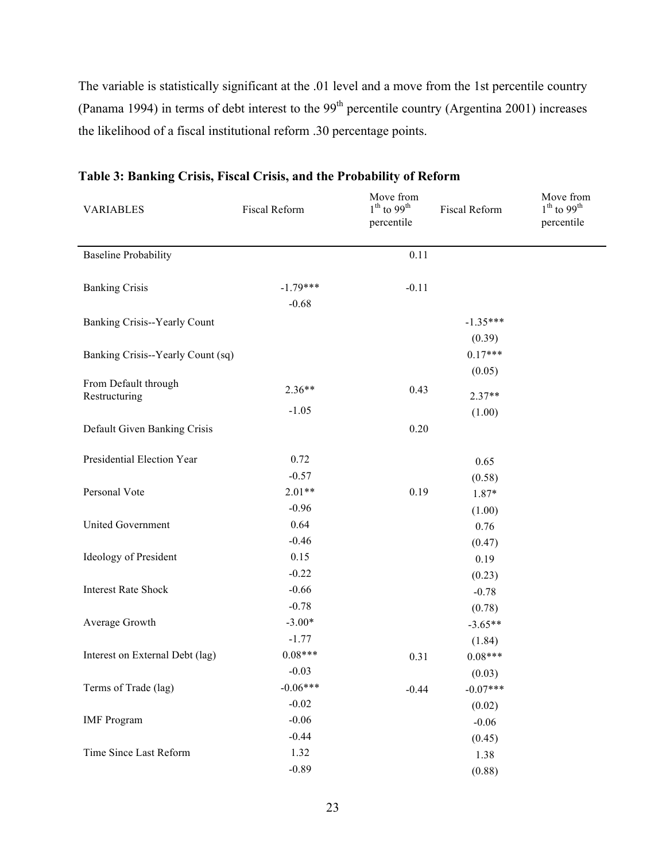The variable is statistically significant at the .01 level and a move from the 1st percentile country (Panama 1994) in terms of debt interest to the 99<sup>th</sup> percentile country (Argentina 2001) increases the likelihood of a fiscal institutional reform .30 percentage points.

| <b>VARIABLES</b>                      | Fiscal Reform | Move from<br>$1th$ to 99 <sup>th</sup><br>percentile | <b>Fiscal Reform</b> | Move from<br>$1th$ to 99 <sup>th</sup><br>percentile |
|---------------------------------------|---------------|------------------------------------------------------|----------------------|------------------------------------------------------|
| <b>Baseline Probability</b>           |               | 0.11                                                 |                      |                                                      |
|                                       |               |                                                      |                      |                                                      |
| <b>Banking Crisis</b>                 | $-1.79***$    | $-0.11$                                              |                      |                                                      |
|                                       | $-0.68$       |                                                      |                      |                                                      |
| Banking Crisis--Yearly Count          |               |                                                      | $-1.35***$           |                                                      |
|                                       |               |                                                      | (0.39)               |                                                      |
| Banking Crisis--Yearly Count (sq)     |               |                                                      | $0.17***$            |                                                      |
|                                       |               |                                                      | (0.05)               |                                                      |
| From Default through<br>Restructuring | $2.36**$      | 0.43                                                 | $2.37**$             |                                                      |
|                                       | $-1.05$       |                                                      | (1.00)               |                                                      |
| Default Given Banking Crisis          |               | 0.20                                                 |                      |                                                      |
|                                       |               |                                                      |                      |                                                      |
| Presidential Election Year            | 0.72          |                                                      | 0.65                 |                                                      |
|                                       | $-0.57$       |                                                      | (0.58)               |                                                      |
| Personal Vote                         | $2.01**$      | 0.19                                                 | 1.87*                |                                                      |
|                                       | $-0.96$       |                                                      | (1.00)               |                                                      |
| <b>United Government</b>              | 0.64          |                                                      | 0.76                 |                                                      |
|                                       | $-0.46$       |                                                      | (0.47)               |                                                      |
| Ideology of President                 | 0.15          |                                                      | 0.19                 |                                                      |
|                                       | $-0.22$       |                                                      | (0.23)               |                                                      |
| <b>Interest Rate Shock</b>            | $-0.66$       |                                                      | $-0.78$              |                                                      |
|                                       | $-0.78$       |                                                      | (0.78)               |                                                      |
| Average Growth                        | $-3.00*$      |                                                      | $-3.65**$            |                                                      |
|                                       | $-1.77$       |                                                      | (1.84)               |                                                      |
| Interest on External Debt (lag)       | $0.08***$     | 0.31                                                 | $0.08***$            |                                                      |
|                                       | $-0.03$       |                                                      | (0.03)               |                                                      |
| Terms of Trade (lag)                  | $-0.06***$    | $-0.44$                                              | $-0.07***$           |                                                      |
|                                       | $-0.02$       |                                                      | (0.02)               |                                                      |
| <b>IMF</b> Program                    | $-0.06$       |                                                      | $-0.06$              |                                                      |
|                                       | $-0.44$       |                                                      | (0.45)               |                                                      |
| Time Since Last Reform                | 1.32          |                                                      | 1.38                 |                                                      |
|                                       | $-0.89$       |                                                      | (0.88)               |                                                      |

## **Table 3: Banking Crisis, Fiscal Crisis, and the Probability of Reform**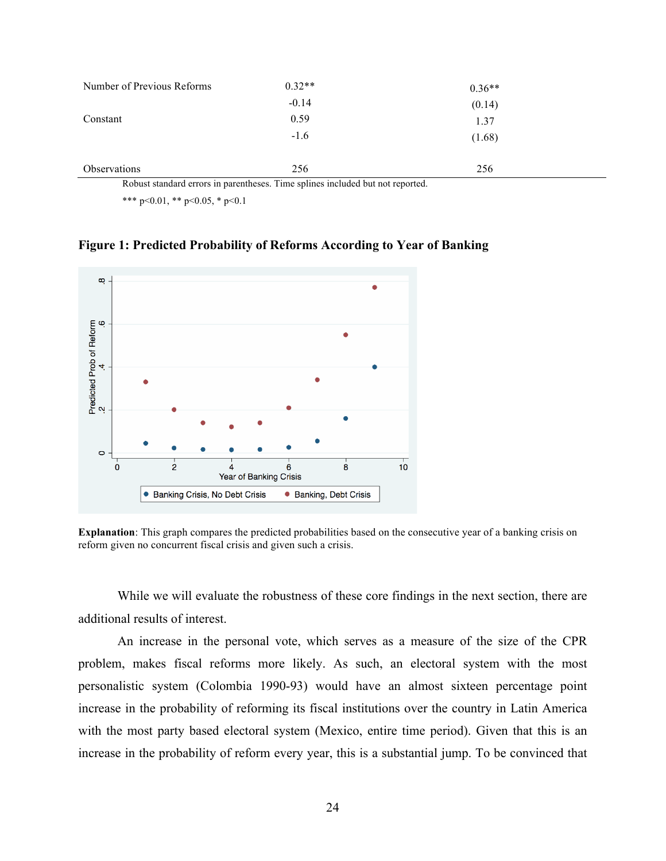| Number of Previous Reforms | $0.32**$ | $0.36**$ |
|----------------------------|----------|----------|
|                            | $-0.14$  | (0.14)   |
| Constant                   | 0.59     | 1.37     |
|                            | $-1.6$   | (1.68)   |
|                            |          |          |
| Observations               | 256      | 256      |

Robust standard errors in parentheses. Time splines included but not reported.

\*\*\* p<0.01, \*\* p<0.05, \* p<0.1

**Figure 1: Predicted Probability of Reforms According to Year of Banking** 



**Explanation**: This graph compares the predicted probabilities based on the consecutive year of a banking crisis on reform given no concurrent fiscal crisis and given such a crisis.

While we will evaluate the robustness of these core findings in the next section, there are additional results of interest.

An increase in the personal vote, which serves as a measure of the size of the CPR problem, makes fiscal reforms more likely. As such, an electoral system with the most personalistic system (Colombia 1990-93) would have an almost sixteen percentage point increase in the probability of reforming its fiscal institutions over the country in Latin America with the most party based electoral system (Mexico, entire time period). Given that this is an increase in the probability of reform every year, this is a substantial jump. To be convinced that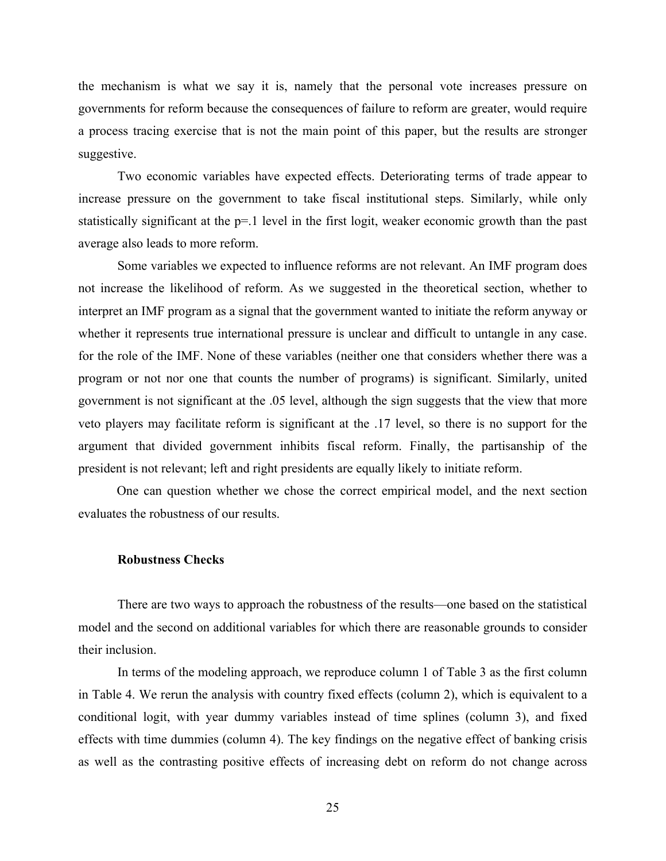the mechanism is what we say it is, namely that the personal vote increases pressure on governments for reform because the consequences of failure to reform are greater, would require a process tracing exercise that is not the main point of this paper, but the results are stronger suggestive.

Two economic variables have expected effects. Deteriorating terms of trade appear to increase pressure on the government to take fiscal institutional steps. Similarly, while only statistically significant at the p=.1 level in the first logit, weaker economic growth than the past average also leads to more reform.

Some variables we expected to influence reforms are not relevant. An IMF program does not increase the likelihood of reform. As we suggested in the theoretical section, whether to interpret an IMF program as a signal that the government wanted to initiate the reform anyway or whether it represents true international pressure is unclear and difficult to untangle in any case. for the role of the IMF. None of these variables (neither one that considers whether there was a program or not nor one that counts the number of programs) is significant. Similarly, united government is not significant at the .05 level, although the sign suggests that the view that more veto players may facilitate reform is significant at the .17 level, so there is no support for the argument that divided government inhibits fiscal reform. Finally, the partisanship of the president is not relevant; left and right presidents are equally likely to initiate reform.

One can question whether we chose the correct empirical model, and the next section evaluates the robustness of our results.

#### **Robustness Checks**

There are two ways to approach the robustness of the results—one based on the statistical model and the second on additional variables for which there are reasonable grounds to consider their inclusion.

In terms of the modeling approach, we reproduce column 1 of Table 3 as the first column in Table 4. We rerun the analysis with country fixed effects (column 2), which is equivalent to a conditional logit, with year dummy variables instead of time splines (column 3), and fixed effects with time dummies (column 4). The key findings on the negative effect of banking crisis as well as the contrasting positive effects of increasing debt on reform do not change across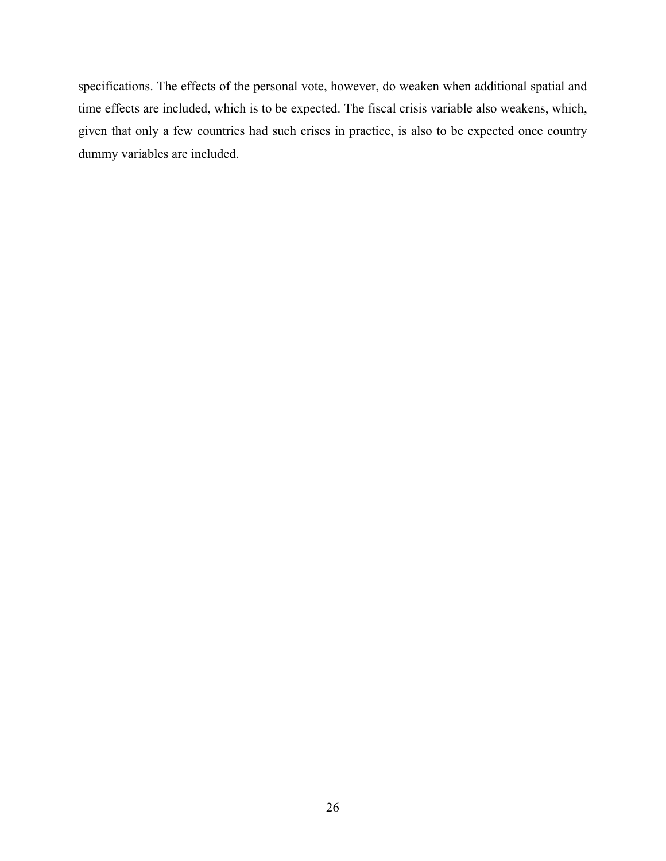specifications. The effects of the personal vote, however, do weaken when additional spatial and time effects are included, which is to be expected. The fiscal crisis variable also weakens, which, given that only a few countries had such crises in practice, is also to be expected once country dummy variables are included.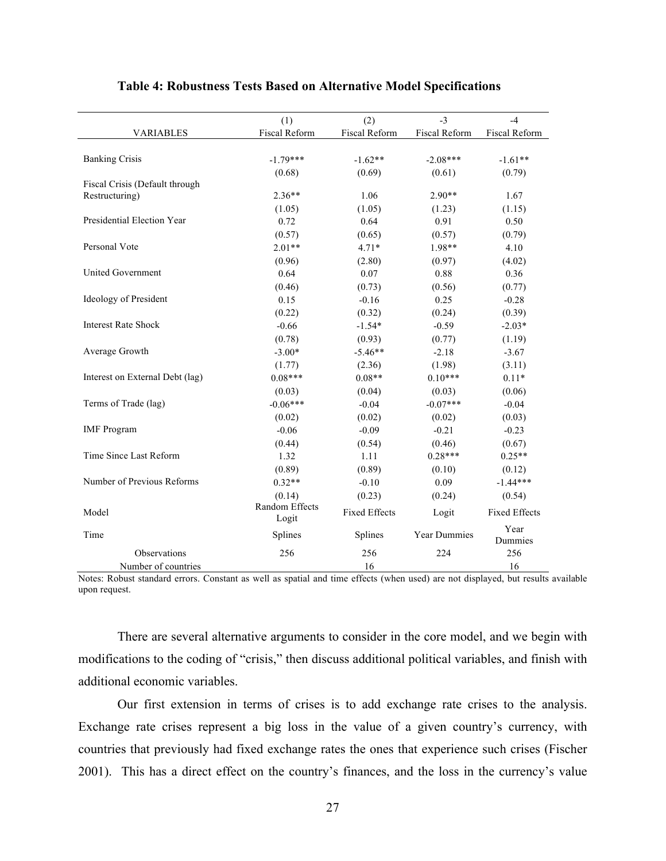|                                 | (1)                     | (2)                  | $-3$          | $-4$                 |
|---------------------------------|-------------------------|----------------------|---------------|----------------------|
| VARIABLES                       | Fiscal Reform           | Fiscal Reform        | Fiscal Reform | Fiscal Reform        |
|                                 |                         |                      |               |                      |
| <b>Banking Crisis</b>           | $-1.79***$              | $-1.62**$            | $-2.08***$    | $-1.61**$            |
|                                 | (0.68)                  | (0.69)               | (0.61)        | (0.79)               |
| Fiscal Crisis (Default through  |                         |                      |               |                      |
| Restructuring)                  | $2.36**$                | 1.06                 | $2.90**$      | 1.67                 |
|                                 | (1.05)                  | (1.05)               | (1.23)        | (1.15)               |
| Presidential Election Year      | 0.72                    | 0.64                 | 0.91          | 0.50                 |
|                                 | (0.57)                  | (0.65)               | (0.57)        | (0.79)               |
| Personal Vote                   | $2.01**$                | $4.71*$              | 1.98**        | 4.10                 |
|                                 | (0.96)                  | (2.80)               | (0.97)        | (4.02)               |
| <b>United Government</b>        | 0.64                    | 0.07                 | 0.88          | 0.36                 |
|                                 | (0.46)                  | (0.73)               | (0.56)        | (0.77)               |
| Ideology of President           | 0.15                    | $-0.16$              | 0.25          | $-0.28$              |
|                                 | (0.22)                  | (0.32)               | (0.24)        | (0.39)               |
| <b>Interest Rate Shock</b>      | $-0.66$                 | $-1.54*$             | $-0.59$       | $-2.03*$             |
|                                 | (0.78)                  | (0.93)               | (0.77)        | (1.19)               |
| Average Growth                  | $-3.00*$                | $-5.46**$            | $-2.18$       | $-3.67$              |
|                                 | (1.77)                  | (2.36)               | (1.98)        | (3.11)               |
| Interest on External Debt (lag) | $0.08***$               | $0.08**$             | $0.10***$     | $0.11*$              |
|                                 | (0.03)                  | (0.04)               | (0.03)        | (0.06)               |
| Terms of Trade (lag)            | $-0.06***$              | $-0.04$              | $-0.07***$    | $-0.04$              |
|                                 | (0.02)                  | (0.02)               | (0.02)        | (0.03)               |
| <b>IMF</b> Program              | $-0.06$                 | $-0.09$              | $-0.21$       | $-0.23$              |
|                                 | (0.44)                  | (0.54)               | (0.46)        | (0.67)               |
| Time Since Last Reform          | 1.32                    | 1.11                 | $0.28***$     | $0.25**$             |
|                                 | (0.89)                  | (0.89)               | (0.10)        | (0.12)               |
| Number of Previous Reforms      | $0.32**$                | $-0.10$              | 0.09          | $-1.44***$           |
|                                 | (0.14)                  | (0.23)               | (0.24)        | (0.54)               |
| Model                           | Random Effects<br>Logit | <b>Fixed Effects</b> | Logit         | <b>Fixed Effects</b> |
| Time                            | Splines                 | Splines              | Year Dummies  | Year<br>Dummies      |
| Observations                    | 256                     | 256                  | 224           | 256                  |
| Number of countries             |                         | 16                   |               | 16                   |

#### **Table 4: Robustness Tests Based on Alternative Model Specifications**

Notes: Robust standard errors. Constant as well as spatial and time effects (when used) are not displayed, but results available upon request.

There are several alternative arguments to consider in the core model, and we begin with modifications to the coding of "crisis," then discuss additional political variables, and finish with additional economic variables.

Our first extension in terms of crises is to add exchange rate crises to the analysis. Exchange rate crises represent a big loss in the value of a given country's currency, with countries that previously had fixed exchange rates the ones that experience such crises (Fischer 2001). This has a direct effect on the country's finances, and the loss in the currency's value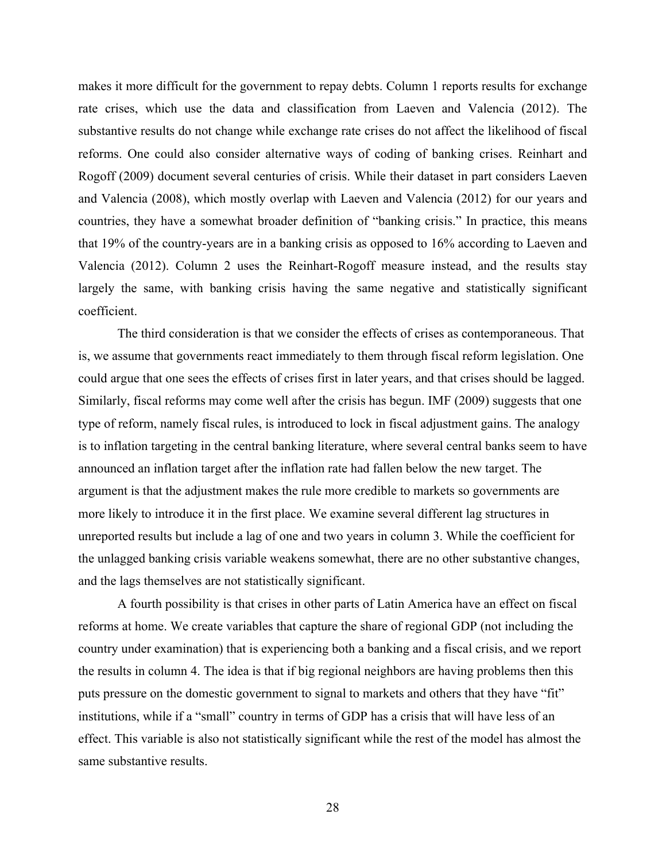makes it more difficult for the government to repay debts. Column 1 reports results for exchange rate crises, which use the data and classification from Laeven and Valencia (2012). The substantive results do not change while exchange rate crises do not affect the likelihood of fiscal reforms. One could also consider alternative ways of coding of banking crises. Reinhart and Rogoff (2009) document several centuries of crisis. While their dataset in part considers Laeven and Valencia (2008), which mostly overlap with Laeven and Valencia (2012) for our years and countries, they have a somewhat broader definition of "banking crisis." In practice, this means that 19% of the country-years are in a banking crisis as opposed to 16% according to Laeven and Valencia (2012). Column 2 uses the Reinhart-Rogoff measure instead, and the results stay largely the same, with banking crisis having the same negative and statistically significant coefficient.

The third consideration is that we consider the effects of crises as contemporaneous. That is, we assume that governments react immediately to them through fiscal reform legislation. One could argue that one sees the effects of crises first in later years, and that crises should be lagged. Similarly, fiscal reforms may come well after the crisis has begun. IMF (2009) suggests that one type of reform, namely fiscal rules, is introduced to lock in fiscal adjustment gains. The analogy is to inflation targeting in the central banking literature, where several central banks seem to have announced an inflation target after the inflation rate had fallen below the new target. The argument is that the adjustment makes the rule more credible to markets so governments are more likely to introduce it in the first place. We examine several different lag structures in unreported results but include a lag of one and two years in column 3. While the coefficient for the unlagged banking crisis variable weakens somewhat, there are no other substantive changes, and the lags themselves are not statistically significant.

A fourth possibility is that crises in other parts of Latin America have an effect on fiscal reforms at home. We create variables that capture the share of regional GDP (not including the country under examination) that is experiencing both a banking and a fiscal crisis, and we report the results in column 4. The idea is that if big regional neighbors are having problems then this puts pressure on the domestic government to signal to markets and others that they have "fit" institutions, while if a "small" country in terms of GDP has a crisis that will have less of an effect. This variable is also not statistically significant while the rest of the model has almost the same substantive results.

28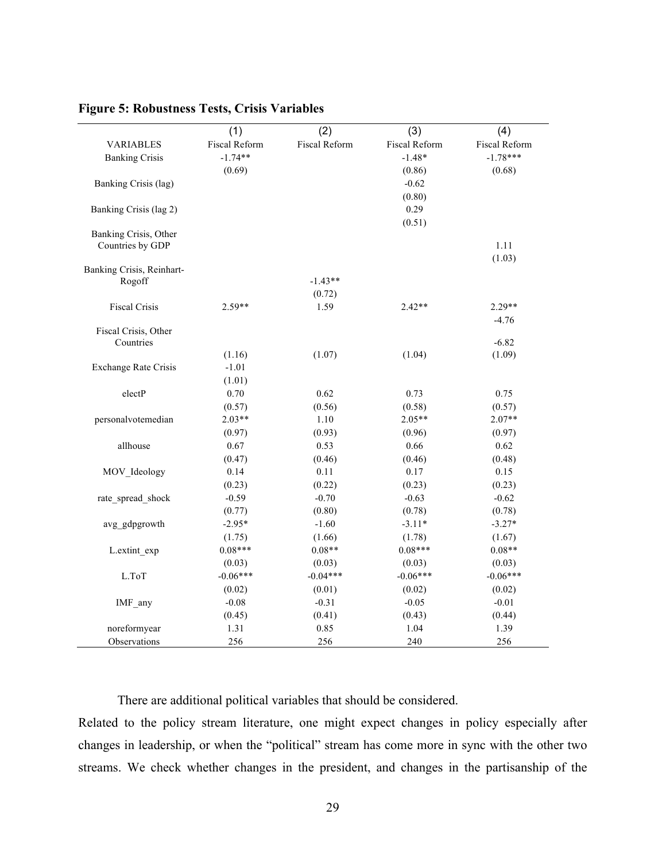|                                   | (1)                  | (2)                  | (3)                  | (4)                  |
|-----------------------------------|----------------------|----------------------|----------------------|----------------------|
| <b>VARIABLES</b>                  | <b>Fiscal Reform</b> | <b>Fiscal Reform</b> | <b>Fiscal Reform</b> | <b>Fiscal Reform</b> |
| <b>Banking Crisis</b>             | $-1.74**$            |                      | $-1.48*$             | $-1.78***$           |
|                                   | (0.69)               |                      | (0.86)               | (0.68)               |
| Banking Crisis (lag)              |                      |                      | $-0.62$              |                      |
|                                   |                      |                      | (0.80)               |                      |
| Banking Crisis (lag 2)            |                      |                      | 0.29                 |                      |
|                                   |                      |                      | (0.51)               |                      |
| Banking Crisis, Other             |                      |                      |                      |                      |
| Countries by GDP                  |                      |                      |                      | 1.11                 |
|                                   |                      |                      |                      | (1.03)               |
| Banking Crisis, Reinhart-         |                      |                      |                      |                      |
| Rogoff                            |                      | $-1.43**$            |                      |                      |
|                                   |                      | (0.72)               |                      |                      |
| <b>Fiscal Crisis</b>              | $2.59**$             | 1.59                 | $2.42**$             | $2.29**$             |
|                                   |                      |                      |                      | $-4.76$              |
| Fiscal Crisis, Other<br>Countries |                      |                      |                      | $-6.82$              |
|                                   | (1.16)               | (1.07)               | (1.04)               | (1.09)               |
| <b>Exchange Rate Crisis</b>       | $-1.01$              |                      |                      |                      |
|                                   | (1.01)               |                      |                      |                      |
| electP                            | 0.70                 | 0.62                 | 0.73                 | 0.75                 |
|                                   | (0.57)               | (0.56)               | (0.58)               | (0.57)               |
| personalvotemedian                | $2.03**$             | 1.10                 | $2.05**$             | $2.07**$             |
|                                   | (0.97)               | (0.93)               | (0.96)               | (0.97)               |
| allhouse                          | 0.67                 | 0.53                 | 0.66                 | 0.62                 |
|                                   | (0.47)               | (0.46)               | (0.46)               | (0.48)               |
| MOV Ideology                      | 0.14                 | 0.11                 | 0.17                 | 0.15                 |
|                                   | (0.23)               | (0.22)               | (0.23)               | (0.23)               |
| rate spread shock                 | $-0.59$              | $-0.70$              | $-0.63$              | $-0.62$              |
|                                   | (0.77)               | (0.80)               | (0.78)               | (0.78)               |
| avg gdpgrowth                     | $-2.95*$             | $-1.60$              | $-3.11*$             | $-3.27*$             |
|                                   | (1.75)               | (1.66)               | (1.78)               | (1.67)               |
| L.extint exp                      | $0.08***$            | $0.08**$             | $0.08***$            | $0.08**$             |
|                                   | (0.03)               | (0.03)               | (0.03)               | (0.03)               |
| L.ToT                             | $-0.06***$           | $-0.04***$           | $-0.06***$           | $-0.06***$           |
|                                   | (0.02)               | (0.01)               | (0.02)               | (0.02)               |
| IMF_any                           | $-0.08$              | $-0.31$              | $-0.05$              | $-0.01$              |
|                                   | (0.45)               | (0.41)               | (0.43)               | (0.44)               |
| noreformyear                      | 1.31                 | 0.85                 | 1.04                 | 1.39                 |
| Observations                      | 256                  | 256                  | 240                  | 256                  |

### **Figure 5: Robustness Tests, Crisis Variables**

There are additional political variables that should be considered.

Related to the policy stream literature, one might expect changes in policy especially after changes in leadership, or when the "political" stream has come more in sync with the other two streams. We check whether changes in the president, and changes in the partisanship of the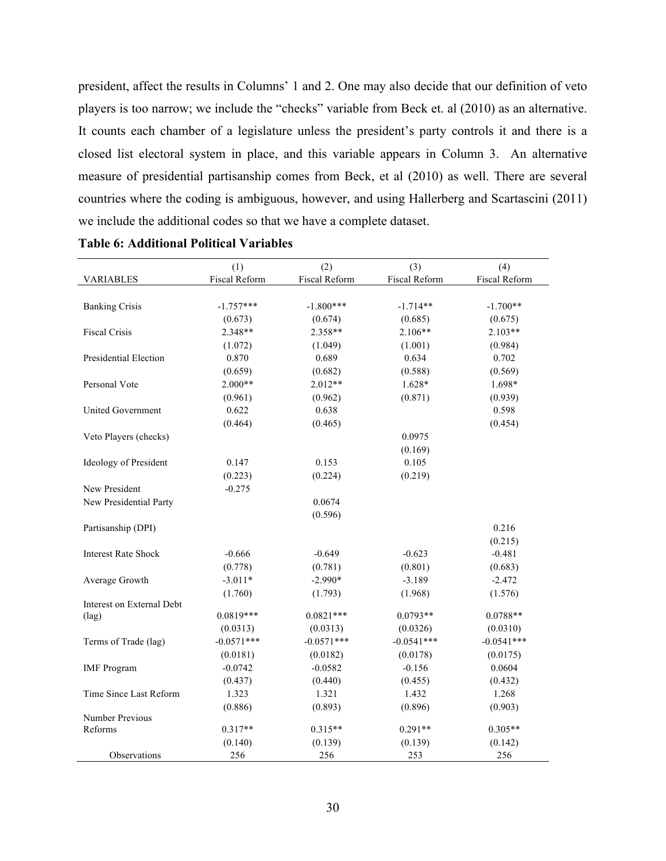president, affect the results in Columns' 1 and 2. One may also decide that our definition of veto players is too narrow; we include the "checks" variable from Beck et. al (2010) as an alternative. It counts each chamber of a legislature unless the president's party controls it and there is a closed list electoral system in place, and this variable appears in Column 3. An alternative measure of presidential partisanship comes from Beck, et al (2010) as well. There are several countries where the coding is ambiguous, however, and using Hallerberg and Scartascini (2011) we include the additional codes so that we have a complete dataset.

|                                   | (1)           | (2)           | (3)           | (4)                  |
|-----------------------------------|---------------|---------------|---------------|----------------------|
| <b>VARIABLES</b>                  | Fiscal Reform | Fiscal Reform | Fiscal Reform | <b>Fiscal Reform</b> |
|                                   |               |               |               |                      |
| <b>Banking Crisis</b>             | $-1.757***$   | $-1.800***$   | $-1.714**$    | $-1.700**$           |
|                                   | (0.673)       | (0.674)       | (0.685)       | (0.675)              |
| <b>Fiscal Crisis</b>              | 2.348**       | 2.358**       | $2.106**$     | $2.103**$            |
|                                   | (1.072)       | (1.049)       | (1.001)       | (0.984)              |
| Presidential Election             | 0.870         | 0.689         | 0.634         | 0.702                |
|                                   | (0.659)       | (0.682)       | (0.588)       | (0.569)              |
| Personal Vote                     | $2.000**$     | $2.012**$     | $1.628*$      | 1.698*               |
|                                   | (0.961)       | (0.962)       | (0.871)       | (0.939)              |
| <b>United Government</b>          | 0.622         | 0.638         |               | 0.598                |
|                                   | (0.464)       | (0.465)       |               | (0.454)              |
| Veto Players (checks)             |               |               | 0.0975        |                      |
|                                   |               |               | (0.169)       |                      |
| Ideology of President             | 0.147         | 0.153         | 0.105         |                      |
|                                   | (0.223)       | (0.224)       | (0.219)       |                      |
| New President                     | $-0.275$      |               |               |                      |
| New Presidential Party            |               | 0.0674        |               |                      |
|                                   |               | (0.596)       |               |                      |
| Partisanship (DPI)                |               |               |               | 0.216                |
|                                   |               |               |               | (0.215)              |
| <b>Interest Rate Shock</b>        | $-0.666$      | $-0.649$      | $-0.623$      | $-0.481$             |
|                                   | (0.778)       | (0.781)       | (0.801)       | (0.683)              |
| Average Growth                    | $-3.011*$     | $-2.990*$     | $-3.189$      | $-2.472$             |
|                                   | (1.760)       | (1.793)       | (1.968)       | (1.576)              |
| Interest on External Debt         |               |               |               |                      |
| $(\text{lag})$                    | $0.0819***$   | $0.0821***$   | $0.0793**$    | $0.0788**$           |
|                                   | (0.0313)      | (0.0313)      | (0.0326)      | (0.0310)             |
| Terms of Trade (lag)              | $-0.0571***$  | $-0.0571***$  | $-0.0541***$  | $-0.0541***$         |
|                                   | (0.0181)      | (0.0182)      | (0.0178)      | (0.0175)             |
| <b>IMF</b> Program                | $-0.0742$     | $-0.0582$     | $-0.156$      | 0.0604               |
|                                   | (0.437)       | (0.440)       | (0.455)       | (0.432)              |
| Time Since Last Reform            | 1.323         | 1.321         | 1.432         | 1.268                |
|                                   | (0.886)       | (0.893)       | (0.896)       | (0.903)              |
| <b>Number Previous</b><br>Reforms | $0.317**$     | $0.315**$     | $0.291**$     | $0.305**$            |
|                                   | (0.140)       | (0.139)       | (0.139)       | (0.142)              |
| Observations                      | 256           | 256           | 253           | 256                  |

**Table 6: Additional Political Variables**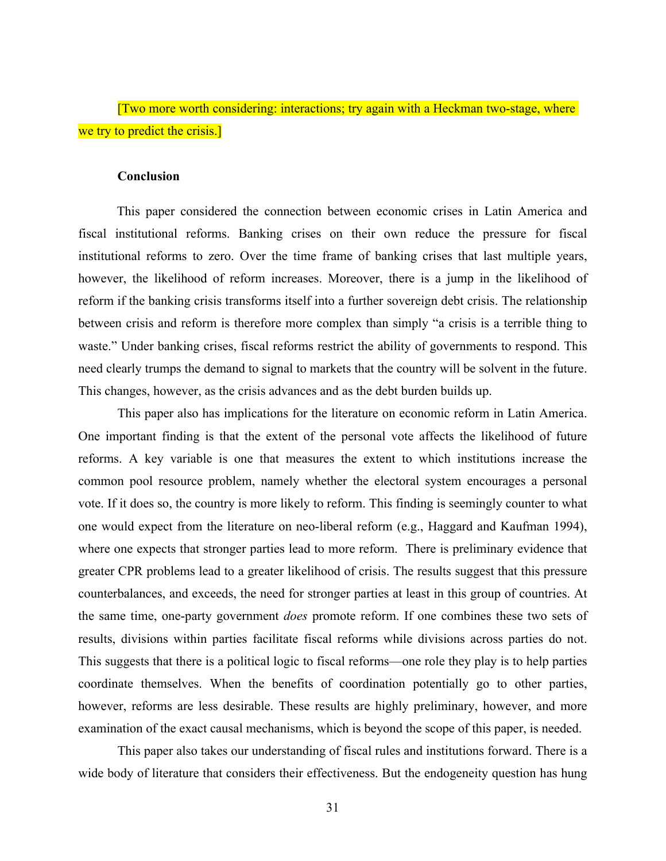[Two more worth considering: interactions; try again with a Heckman two-stage, where we try to predict the crisis.

#### **Conclusion**

This paper considered the connection between economic crises in Latin America and fiscal institutional reforms. Banking crises on their own reduce the pressure for fiscal institutional reforms to zero. Over the time frame of banking crises that last multiple years, however, the likelihood of reform increases. Moreover, there is a jump in the likelihood of reform if the banking crisis transforms itself into a further sovereign debt crisis. The relationship between crisis and reform is therefore more complex than simply "a crisis is a terrible thing to waste." Under banking crises, fiscal reforms restrict the ability of governments to respond. This need clearly trumps the demand to signal to markets that the country will be solvent in the future. This changes, however, as the crisis advances and as the debt burden builds up.

This paper also has implications for the literature on economic reform in Latin America. One important finding is that the extent of the personal vote affects the likelihood of future reforms. A key variable is one that measures the extent to which institutions increase the common pool resource problem, namely whether the electoral system encourages a personal vote. If it does so, the country is more likely to reform. This finding is seemingly counter to what one would expect from the literature on neo-liberal reform (e.g., Haggard and Kaufman 1994), where one expects that stronger parties lead to more reform. There is preliminary evidence that greater CPR problems lead to a greater likelihood of crisis. The results suggest that this pressure counterbalances, and exceeds, the need for stronger parties at least in this group of countries. At the same time, one-party government *does* promote reform. If one combines these two sets of results, divisions within parties facilitate fiscal reforms while divisions across parties do not. This suggests that there is a political logic to fiscal reforms—one role they play is to help parties coordinate themselves. When the benefits of coordination potentially go to other parties, however, reforms are less desirable. These results are highly preliminary, however, and more examination of the exact causal mechanisms, which is beyond the scope of this paper, is needed.

This paper also takes our understanding of fiscal rules and institutions forward. There is a wide body of literature that considers their effectiveness. But the endogeneity question has hung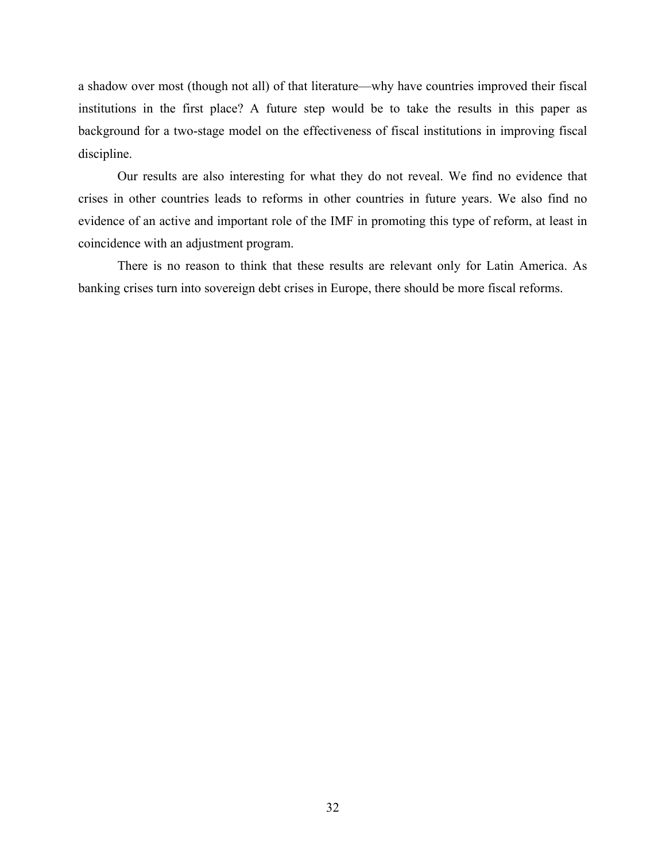a shadow over most (though not all) of that literature—why have countries improved their fiscal institutions in the first place? A future step would be to take the results in this paper as background for a two-stage model on the effectiveness of fiscal institutions in improving fiscal discipline.

Our results are also interesting for what they do not reveal. We find no evidence that crises in other countries leads to reforms in other countries in future years. We also find no evidence of an active and important role of the IMF in promoting this type of reform, at least in coincidence with an adjustment program.

There is no reason to think that these results are relevant only for Latin America. As banking crises turn into sovereign debt crises in Europe, there should be more fiscal reforms.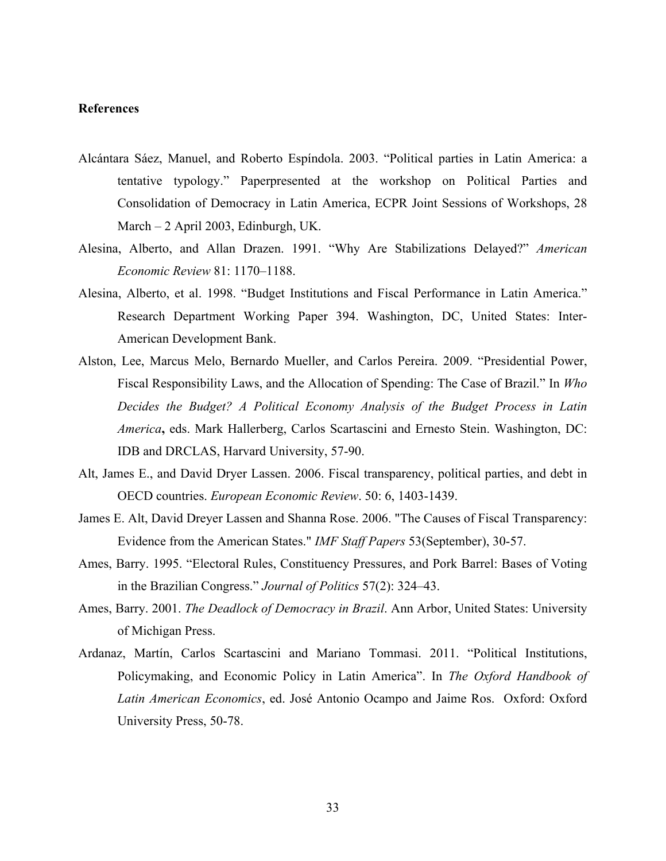### **References**

- Alcántara Sáez, Manuel, and Roberto Espíndola. 2003. "Political parties in Latin America: a tentative typology." Paperpresented at the workshop on Political Parties and Consolidation of Democracy in Latin America, ECPR Joint Sessions of Workshops, 28 March – 2 April 2003, Edinburgh, UK.
- Alesina, Alberto, and Allan Drazen. 1991. "Why Are Stabilizations Delayed?" *American Economic Review* 81: 1170–1188.
- Alesina, Alberto, et al. 1998. "Budget Institutions and Fiscal Performance in Latin America." Research Department Working Paper 394. Washington, DC, United States: Inter-American Development Bank.
- Alston, Lee, Marcus Melo, Bernardo Mueller, and Carlos Pereira. 2009. "Presidential Power, Fiscal Responsibility Laws, and the Allocation of Spending: The Case of Brazil." In *Who Decides the Budget? A Political Economy Analysis of the Budget Process in Latin America***,** eds. Mark Hallerberg, Carlos Scartascini and Ernesto Stein. Washington, DC: IDB and DRCLAS, Harvard University, 57-90.
- Alt, James E., and David Dryer Lassen. 2006. Fiscal transparency, political parties, and debt in OECD countries. *European Economic Review*. 50: 6, 1403-1439.
- James E. Alt, David Dreyer Lassen and Shanna Rose. 2006. "The Causes of Fiscal Transparency: Evidence from the American States." *IMF Staff Papers* 53(September), 30-57.
- Ames, Barry. 1995. "Electoral Rules, Constituency Pressures, and Pork Barrel: Bases of Voting in the Brazilian Congress." *Journal of Politics* 57(2): 324–43.
- Ames, Barry. 2001. *The Deadlock of Democracy in Brazil*. Ann Arbor, United States: University of Michigan Press.
- Ardanaz, Martín, Carlos Scartascini and Mariano Tommasi. 2011. "Political Institutions, Policymaking, and Economic Policy in Latin America". In *The Oxford Handbook of Latin American Economics*, ed. José Antonio Ocampo and Jaime Ros. Oxford: Oxford University Press, 50-78.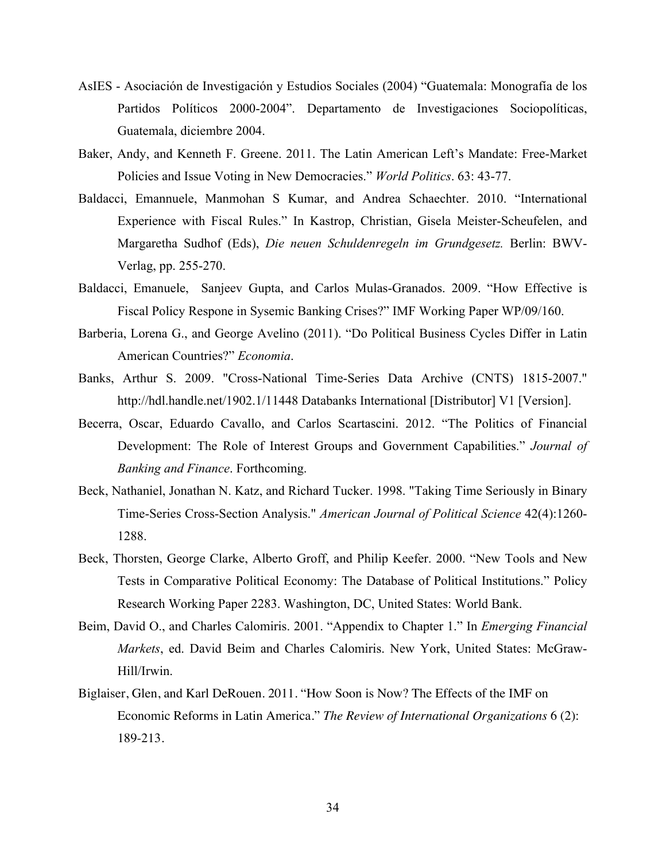- AsIES Asociación de Investigación y Estudios Sociales (2004) "Guatemala: Monografía de los Partidos Políticos 2000-2004". Departamento de Investigaciones Sociopolíticas, Guatemala, diciembre 2004.
- Baker, Andy, and Kenneth F. Greene. 2011. The Latin American Left's Mandate: Free-Market Policies and Issue Voting in New Democracies." *World Politics*. 63: 43-77.
- Baldacci, Emannuele, Manmohan S Kumar, and Andrea Schaechter. 2010. "International Experience with Fiscal Rules." In Kastrop, Christian, Gisela Meister-Scheufelen, and Margaretha Sudhof (Eds), *Die neuen Schuldenregeln im Grundgesetz.* Berlin: BWV-Verlag, pp. 255-270.
- Baldacci, Emanuele, Sanjeev Gupta, and Carlos Mulas-Granados. 2009. "How Effective is Fiscal Policy Respone in Sysemic Banking Crises?" IMF Working Paper WP/09/160.
- Barberia, Lorena G., and George Avelino (2011). "Do Political Business Cycles Differ in Latin American Countries?" *Economia*.
- Banks, Arthur S. 2009. "Cross-National Time-Series Data Archive (CNTS) 1815-2007." http://hdl.handle.net/1902.1/11448 Databanks International [Distributor] V1 [Version].
- Becerra, Oscar, Eduardo Cavallo, and Carlos Scartascini. 2012. "The Politics of Financial Development: The Role of Interest Groups and Government Capabilities." *Journal of Banking and Finance*. Forthcoming.
- Beck, Nathaniel, Jonathan N. Katz, and Richard Tucker. 1998. "Taking Time Seriously in Binary Time-Series Cross-Section Analysis." *American Journal of Political Science* 42(4):1260- 1288.
- Beck, Thorsten, George Clarke, Alberto Groff, and Philip Keefer. 2000. "New Tools and New Tests in Comparative Political Economy: The Database of Political Institutions." Policy Research Working Paper 2283. Washington, DC, United States: World Bank.
- Beim, David O., and Charles Calomiris. 2001. "Appendix to Chapter 1." In *Emerging Financial Markets*, ed. David Beim and Charles Calomiris. New York, United States: McGraw-Hill/Irwin.
- Biglaiser, Glen, and Karl DeRouen. 2011. "How Soon is Now? The Effects of the IMF on Economic Reforms in Latin America." *The Review of International Organizations* 6 (2): 189-213.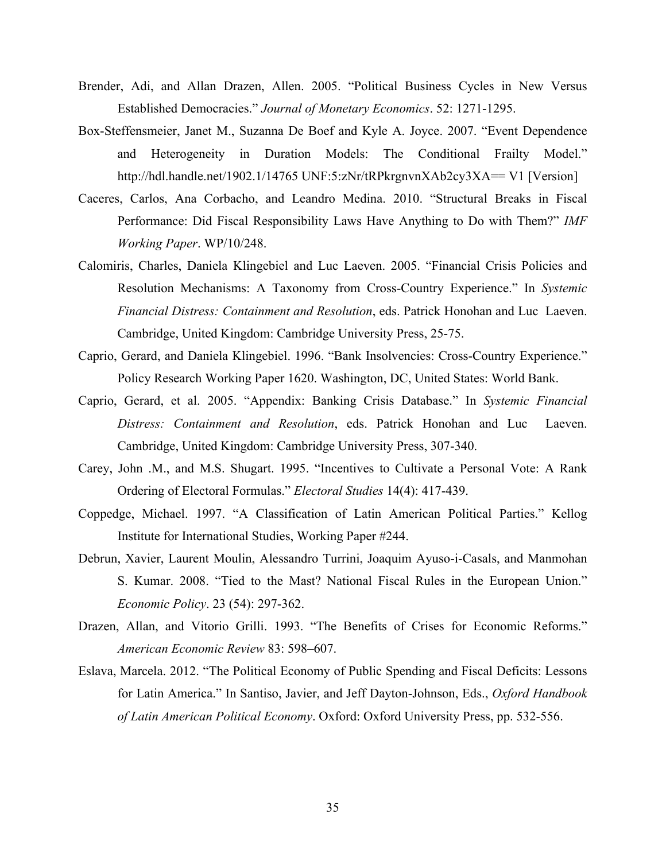- Brender, Adi, and Allan Drazen, Allen. 2005. "Political Business Cycles in New Versus Established Democracies." *Journal of Monetary Economics*. 52: 1271-1295.
- Box-Steffensmeier, Janet M., Suzanna De Boef and Kyle A. Joyce. 2007. "Event Dependence and Heterogeneity in Duration Models: The Conditional Frailty Model." http://hdl.handle.net/1902.1/14765 UNF:5:zNr/tRPkrgnvnXAb2cy3XA== V1 [Version]
- Caceres, Carlos, Ana Corbacho, and Leandro Medina. 2010. "Structural Breaks in Fiscal Performance: Did Fiscal Responsibility Laws Have Anything to Do with Them?" *IMF Working Paper*. WP/10/248.
- Calomiris, Charles, Daniela Klingebiel and Luc Laeven. 2005. "Financial Crisis Policies and Resolution Mechanisms: A Taxonomy from Cross-Country Experience." In *Systemic Financial Distress: Containment and Resolution*, eds. Patrick Honohan and Luc Laeven. Cambridge, United Kingdom: Cambridge University Press, 25-75.
- Caprio, Gerard, and Daniela Klingebiel. 1996. "Bank Insolvencies: Cross-Country Experience." Policy Research Working Paper 1620. Washington, DC, United States: World Bank.
- Caprio, Gerard, et al. 2005. "Appendix: Banking Crisis Database." In *Systemic Financial Distress: Containment and Resolution*, eds. Patrick Honohan and Luc Laeven. Cambridge, United Kingdom: Cambridge University Press, 307-340.
- Carey, John .M., and M.S. Shugart. 1995. "Incentives to Cultivate a Personal Vote: A Rank Ordering of Electoral Formulas." *Electoral Studies* 14(4): 417-439.
- Coppedge, Michael. 1997. "A Classification of Latin American Political Parties." Kellog Institute for International Studies, Working Paper #244.
- Debrun, Xavier, Laurent Moulin, Alessandro Turrini, Joaquim Ayuso-i-Casals, and Manmohan S. Kumar. 2008. "Tied to the Mast? National Fiscal Rules in the European Union." *Economic Policy*. 23 (54): 297-362.
- Drazen, Allan, and Vitorio Grilli. 1993. "The Benefits of Crises for Economic Reforms." *American Economic Review* 83: 598–607.
- Eslava, Marcela. 2012. "The Political Economy of Public Spending and Fiscal Deficits: Lessons for Latin America." In Santiso, Javier, and Jeff Dayton-Johnson, Eds., *Oxford Handbook of Latin American Political Economy*. Oxford: Oxford University Press, pp. 532-556.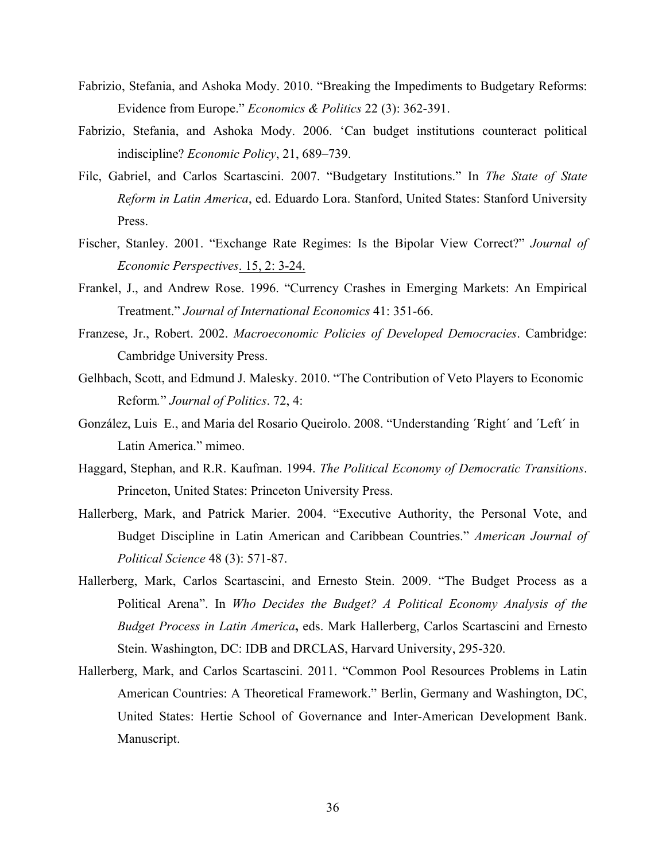- Fabrizio, Stefania, and Ashoka Mody. 2010. "Breaking the Impediments to Budgetary Reforms: Evidence from Europe." *Economics & Politics* 22 (3): 362-391.
- Fabrizio, Stefania, and Ashoka Mody. 2006. 'Can budget institutions counteract political indiscipline? *Economic Policy*, 21, 689–739.
- Filc, Gabriel, and Carlos Scartascini. 2007. "Budgetary Institutions." In *The State of State Reform in Latin America*, ed. Eduardo Lora. Stanford, United States: Stanford University Press.
- Fischer, Stanley. 2001. "Exchange Rate Regimes: Is the Bipolar View Correct?" *Journal of Economic Perspectives*. 15, 2: 3-24.
- Frankel, J., and Andrew Rose. 1996. "Currency Crashes in Emerging Markets: An Empirical Treatment." *Journal of International Economics* 41: 351-66.
- Franzese, Jr., Robert. 2002. *Macroeconomic Policies of Developed Democracies*. Cambridge: Cambridge University Press.
- Gelhbach, Scott, and Edmund J. Malesky. 2010. "The Contribution of Veto Players to Economic Reform*.*" *Journal of Politics*. 72, 4:
- González, Luis E., and Maria del Rosario Queirolo. 2008. "Understanding ´Right´ and ´Left´ in Latin America." mimeo.
- Haggard, Stephan, and R.R. Kaufman. 1994. *The Political Economy of Democratic Transitions*. Princeton, United States: Princeton University Press.
- Hallerberg, Mark, and Patrick Marier. 2004. "Executive Authority, the Personal Vote, and Budget Discipline in Latin American and Caribbean Countries." *American Journal of Political Science* 48 (3): 571-87.
- Hallerberg, Mark, Carlos Scartascini, and Ernesto Stein. 2009. "The Budget Process as a Political Arena". In *Who Decides the Budget? A Political Economy Analysis of the Budget Process in Latin America***,** eds. Mark Hallerberg, Carlos Scartascini and Ernesto Stein. Washington, DC: IDB and DRCLAS, Harvard University, 295-320.
- Hallerberg, Mark, and Carlos Scartascini. 2011. "Common Pool Resources Problems in Latin American Countries: A Theoretical Framework." Berlin, Germany and Washington, DC, United States: Hertie School of Governance and Inter-American Development Bank. Manuscript.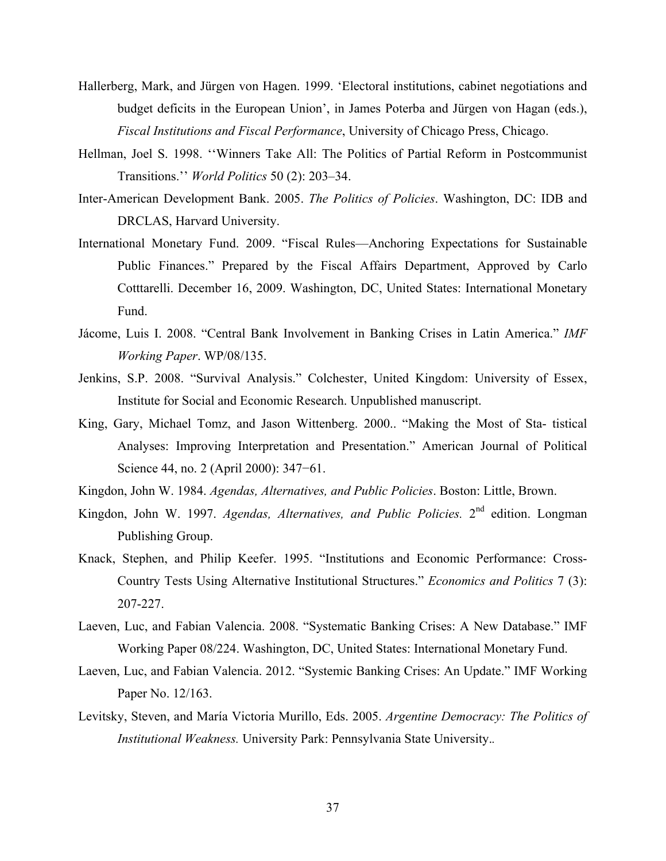- Hallerberg, Mark, and Jürgen von Hagen. 1999. 'Electoral institutions, cabinet negotiations and budget deficits in the European Union', in James Poterba and Jürgen von Hagan (eds.), *Fiscal Institutions and Fiscal Performance*, University of Chicago Press, Chicago.
- Hellman, Joel S. 1998. ''Winners Take All: The Politics of Partial Reform in Postcommunist Transitions.'' *World Politics* 50 (2): 203–34.
- Inter-American Development Bank. 2005. *The Politics of Policies*. Washington, DC: IDB and DRCLAS, Harvard University.
- International Monetary Fund. 2009. "Fiscal Rules—Anchoring Expectations for Sustainable Public Finances." Prepared by the Fiscal Affairs Department, Approved by Carlo Cotttarelli. December 16, 2009. Washington, DC, United States: International Monetary Fund.
- Jácome, Luis I. 2008. "Central Bank Involvement in Banking Crises in Latin America." *IMF Working Paper*. WP/08/135.
- Jenkins, S.P. 2008. "Survival Analysis." Colchester, United Kingdom: University of Essex, Institute for Social and Economic Research. Unpublished manuscript.
- King, Gary, Michael Tomz, and Jason Wittenberg. 2000.. "Making the Most of Sta- tistical Analyses: Improving Interpretation and Presentation." American Journal of Political Science 44, no. 2 (April 2000): 347−61.
- Kingdon, John W. 1984. *Agendas, Alternatives, and Public Policies*. Boston: Little, Brown.
- Kingdon, John W. 1997. *Agendas, Alternatives, and Public Policies*. 2<sup>nd</sup> edition. Longman Publishing Group.
- Knack, Stephen, and Philip Keefer. 1995. "Institutions and Economic Performance: Cross-Country Tests Using Alternative Institutional Structures." *Economics and Politics* 7 (3): 207-227.
- Laeven, Luc, and Fabian Valencia. 2008. "Systematic Banking Crises: A New Database." IMF Working Paper 08/224. Washington, DC, United States: International Monetary Fund.
- Laeven, Luc, and Fabian Valencia. 2012. "Systemic Banking Crises: An Update." IMF Working Paper No. 12/163.
- Levitsky, Steven, and María Victoria Murillo, Eds. 2005. *Argentine Democracy: The Politics of Institutional Weakness.* University Park: Pennsylvania State University.*.*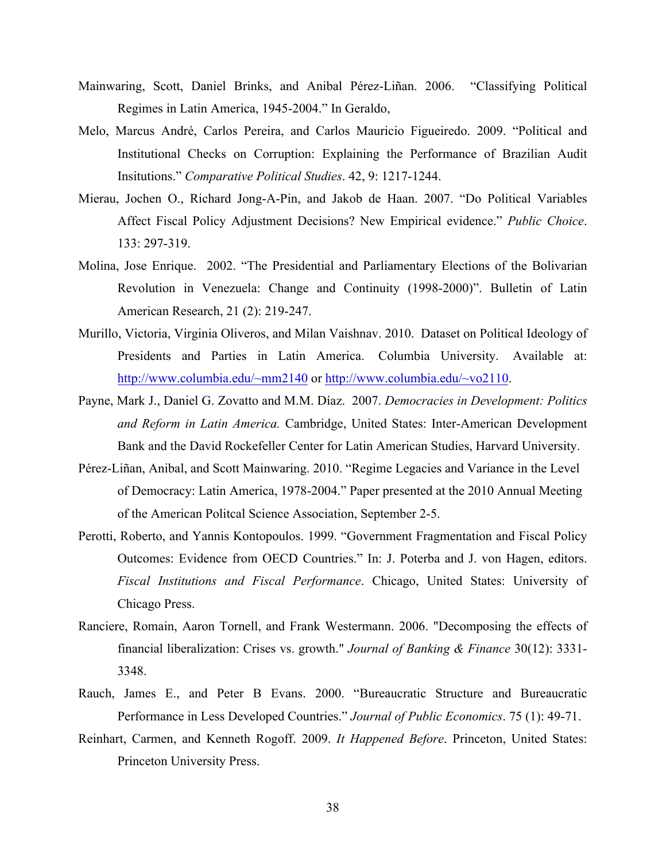- Mainwaring, Scott, Daniel Brinks, and Anibal Pérez-Liñan. 2006. "Classifying Political Regimes in Latin America, 1945-2004." In Geraldo,
- Melo, Marcus André, Carlos Pereira, and Carlos Mauricio Figueiredo. 2009. "Political and Institutional Checks on Corruption: Explaining the Performance of Brazilian Audit Insitutions." *Comparative Political Studies*. 42, 9: 1217-1244.
- Mierau, Jochen O., Richard Jong-A-Pin, and Jakob de Haan. 2007. "Do Political Variables Affect Fiscal Policy Adjustment Decisions? New Empirical evidence." *Public Choice*. 133: 297-319.
- Molina, Jose Enrique. 2002. "The Presidential and Parliamentary Elections of the Bolivarian Revolution in Venezuela: Change and Continuity (1998-2000)". Bulletin of Latin American Research, 21 (2): 219-247.
- Murillo, Victoria, Virginia Oliveros, and Milan Vaishnav. 2010. Dataset on Political Ideology of Presidents and Parties in Latin America. Columbia University. Available at: http://www.columbia.edu/~mm2140 or http://www.columbia.edu/~vo2110.
- Payne, Mark J., Daniel G. Zovatto and M.M. Díaz. 2007. *Democracies in Development: Politics and Reform in Latin America.* Cambridge, United States: Inter-American Development Bank and the David Rockefeller Center for Latin American Studies, Harvard University.
- Pérez-Liñan, Anibal, and Scott Mainwaring. 2010. "Regime Legacies and Variance in the Level of Democracy: Latin America, 1978-2004." Paper presented at the 2010 Annual Meeting of the American Politcal Science Association, September 2-5.
- Perotti, Roberto, and Yannis Kontopoulos. 1999. "Government Fragmentation and Fiscal Policy Outcomes: Evidence from OECD Countries." In: J. Poterba and J. von Hagen, editors. *Fiscal Institutions and Fiscal Performance*. Chicago, United States: University of Chicago Press.
- Ranciere, Romain, Aaron Tornell, and Frank Westermann. 2006. "Decomposing the effects of financial liberalization: Crises vs. growth." *Journal of Banking & Finance* 30(12): 3331- 3348.
- Rauch, James E., and Peter B Evans. 2000. "Bureaucratic Structure and Bureaucratic Performance in Less Developed Countries." *Journal of Public Economics*. 75 (1): 49-71.
- Reinhart, Carmen, and Kenneth Rogoff. 2009. *It Happened Before*. Princeton, United States: Princeton University Press.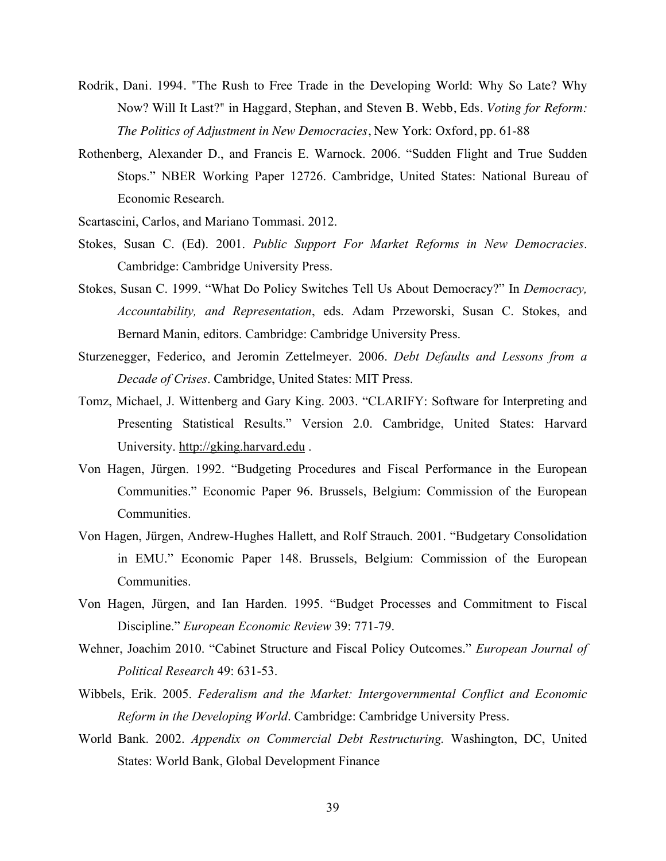- Rodrik, Dani. 1994. "The Rush to Free Trade in the Developing World: Why So Late? Why Now? Will It Last?" in Haggard, Stephan, and Steven B. Webb, Eds. *Voting for Reform: The Politics of Adjustment in New Democracies*, New York: Oxford, pp. 61-88
- Rothenberg, Alexander D., and Francis E. Warnock. 2006. "Sudden Flight and True Sudden Stops." NBER Working Paper 12726. Cambridge, United States: National Bureau of Economic Research.
- Scartascini, Carlos, and Mariano Tommasi. 2012.
- Stokes, Susan C. (Ed). 2001. *Public Support For Market Reforms in New Democracies*. Cambridge: Cambridge University Press.
- Stokes, Susan C. 1999. "What Do Policy Switches Tell Us About Democracy?" In *Democracy, Accountability, and Representation*, eds. Adam Przeworski, Susan C. Stokes, and Bernard Manin, editors. Cambridge: Cambridge University Press.
- Sturzenegger, Federico, and Jeromin Zettelmeyer. 2006. *Debt Defaults and Lessons from a Decade of Crises*. Cambridge, United States: MIT Press.
- Tomz, Michael, J. Wittenberg and Gary King. 2003. "CLARIFY: Software for Interpreting and Presenting Statistical Results." Version 2.0. Cambridge, United States: Harvard University. http://gking.harvard.edu .
- Von Hagen, Jürgen. 1992. "Budgeting Procedures and Fiscal Performance in the European Communities." Economic Paper 96. Brussels, Belgium: Commission of the European Communities.
- Von Hagen, Jürgen, Andrew-Hughes Hallett, and Rolf Strauch. 2001. "Budgetary Consolidation in EMU." Economic Paper 148. Brussels, Belgium: Commission of the European Communities.
- Von Hagen, Jürgen, and Ian Harden. 1995. "Budget Processes and Commitment to Fiscal Discipline." *European Economic Review* 39: 771-79.
- Wehner, Joachim 2010. "Cabinet Structure and Fiscal Policy Outcomes." *European Journal of Political Research* 49: 631-53.
- Wibbels, Erik. 2005. *Federalism and the Market: Intergovernmental Conflict and Economic Reform in the Developing World*. Cambridge: Cambridge University Press.
- World Bank. 2002. *Appendix on Commercial Debt Restructuring.* Washington, DC, United States: World Bank, Global Development Finance